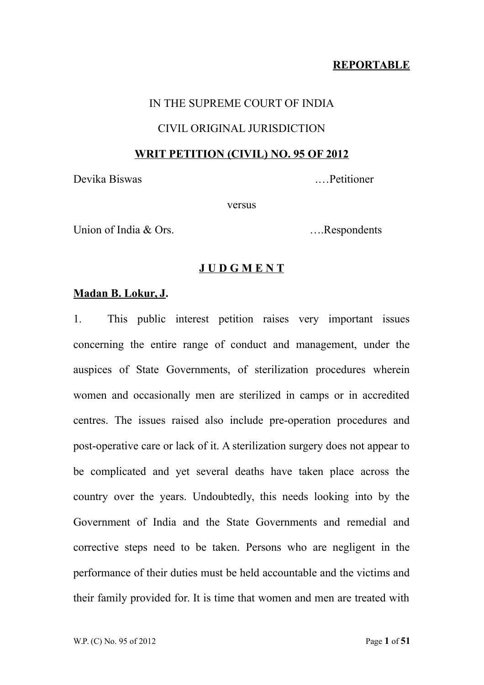## **REPORTABLE**

## IN THE SUPREME COURT OF INDIA

### CIVIL ORIGINAL JURISDICTION

#### **WRIT PETITION (CIVIL) NO. 95 OF 2012**

Devika Biswas .…Petitioner

versus

Union of India & Ors. <br>
....Respondents

## **J U D G M E N T**

### **Madan B. Lokur, J.**

1. This public interest petition raises very important issues concerning the entire range of conduct and management, under the auspices of State Governments, of sterilization procedures wherein women and occasionally men are sterilized in camps or in accredited centres. The issues raised also include pre-operation procedures and post-operative care or lack of it. A sterilization surgery does not appear to be complicated and yet several deaths have taken place across the country over the years. Undoubtedly, this needs looking into by the Government of India and the State Governments and remedial and corrective steps need to be taken. Persons who are negligent in the performance of their duties must be held accountable and the victims and their family provided for. It is time that women and men are treated with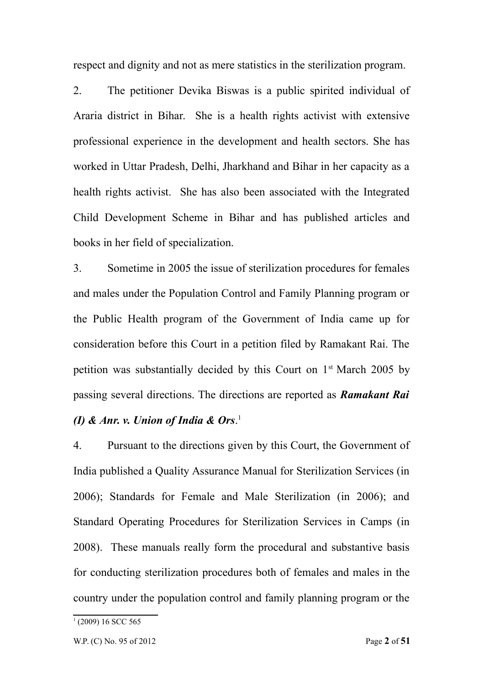respect and dignity and not as mere statistics in the sterilization program.

2. The petitioner Devika Biswas is a public spirited individual of Araria district in Bihar. She is a health rights activist with extensive professional experience in the development and health sectors. She has worked in Uttar Pradesh, Delhi, Jharkhand and Bihar in her capacity as a health rights activist. She has also been associated with the Integrated Child Development Scheme in Bihar and has published articles and books in her field of specialization.

3. Sometime in 2005 the issue of sterilization procedures for females and males under the Population Control and Family Planning program or the Public Health program of the Government of India came up for consideration before this Court in a petition filed by Ramakant Rai. The petition was substantially decided by this Court on 1st March 2005 by passing several directions. The directions are reported as *Ramakant Rai (I) & Anr. v. Union of India & Ors*. [1](#page-1-0)

4. Pursuant to the directions given by this Court, the Government of India published a Quality Assurance Manual for Sterilization Services (in 2006); Standards for Female and Male Sterilization (in 2006); and Standard Operating Procedures for Sterilization Services in Camps (in 2008). These manuals really form the procedural and substantive basis for conducting sterilization procedures both of females and males in the country under the population control and family planning program or the

<span id="page-1-0"></span><sup>&</sup>lt;sup>1</sup> (2009) 16 SCC 565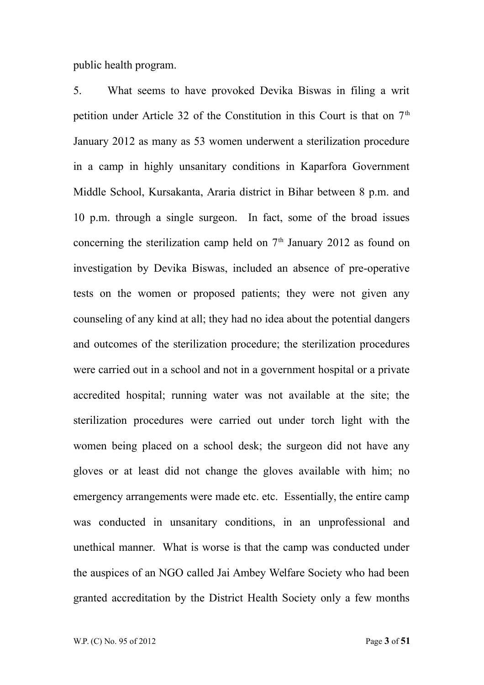public health program.

5. What seems to have provoked Devika Biswas in filing a writ petition under Article 32 of the Constitution in this Court is that on  $7<sup>th</sup>$ January 2012 as many as 53 women underwent a sterilization procedure in a camp in highly unsanitary conditions in Kaparfora Government Middle School, Kursakanta, Araria district in Bihar between 8 p.m. and 10 p.m. through a single surgeon. In fact, some of the broad issues concerning the sterilization camp held on  $7<sup>th</sup>$  January 2012 as found on investigation by Devika Biswas, included an absence of pre-operative tests on the women or proposed patients; they were not given any counseling of any kind at all; they had no idea about the potential dangers and outcomes of the sterilization procedure; the sterilization procedures were carried out in a school and not in a government hospital or a private accredited hospital; running water was not available at the site; the sterilization procedures were carried out under torch light with the women being placed on a school desk; the surgeon did not have any gloves or at least did not change the gloves available with him; no emergency arrangements were made etc. etc. Essentially, the entire camp was conducted in unsanitary conditions, in an unprofessional and unethical manner. What is worse is that the camp was conducted under the auspices of an NGO called Jai Ambey Welfare Society who had been granted accreditation by the District Health Society only a few months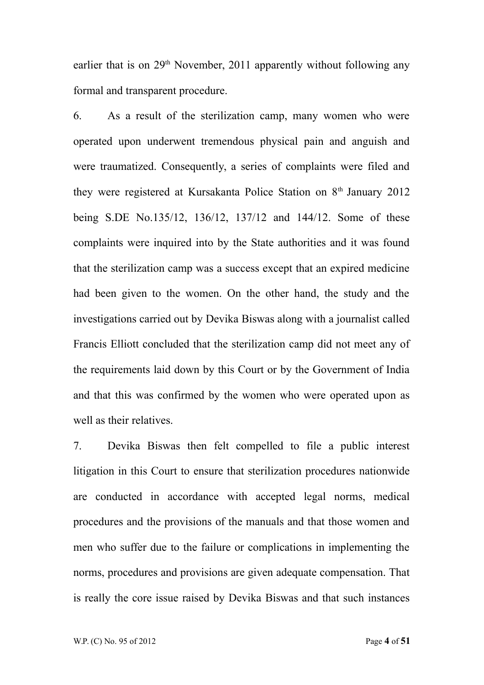earlier that is on  $29<sup>th</sup>$  November, 2011 apparently without following any formal and transparent procedure.

6. As a result of the sterilization camp, many women who were operated upon underwent tremendous physical pain and anguish and were traumatized. Consequently, a series of complaints were filed and they were registered at Kursakanta Police Station on 8<sup>th</sup> January 2012 being S.DE No.135/12, 136/12, 137/12 and 144/12. Some of these complaints were inquired into by the State authorities and it was found that the sterilization camp was a success except that an expired medicine had been given to the women. On the other hand, the study and the investigations carried out by Devika Biswas along with a journalist called Francis Elliott concluded that the sterilization camp did not meet any of the requirements laid down by this Court or by the Government of India and that this was confirmed by the women who were operated upon as well as their relatives.

7. Devika Biswas then felt compelled to file a public interest litigation in this Court to ensure that sterilization procedures nationwide are conducted in accordance with accepted legal norms, medical procedures and the provisions of the manuals and that those women and men who suffer due to the failure or complications in implementing the norms, procedures and provisions are given adequate compensation. That is really the core issue raised by Devika Biswas and that such instances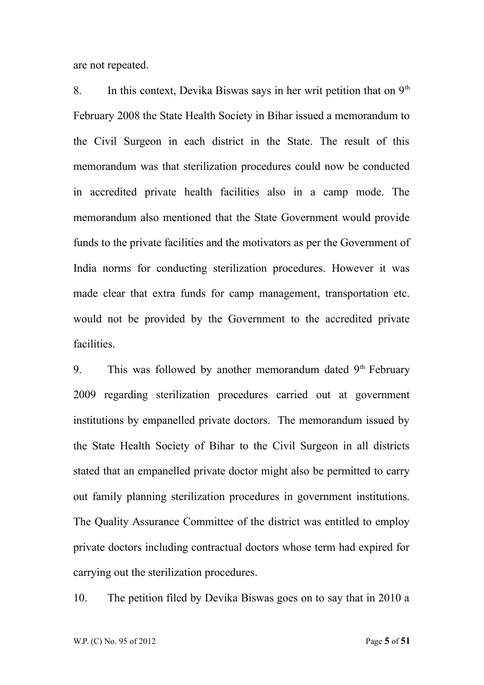are not repeated.

8. In this context, Devika Biswas says in her writ petition that on  $9<sup>th</sup>$ February 2008 the State Health Society in Bihar issued a memorandum to the Civil Surgeon in each district in the State. The result of this memorandum was that sterilization procedures could now be conducted in accredited private health facilities also in a camp mode. The memorandum also mentioned that the State Government would provide funds to the private facilities and the motivators as per the Government of India norms for conducting sterilization procedures. However it was made clear that extra funds for camp management, transportation etc. would not be provided by the Government to the accredited private **facilities** 

9. This was followed by another memorandum dated  $9<sup>th</sup>$  February 2009 regarding sterilization procedures carried out at government institutions by empanelled private doctors. The memorandum issued by the State Health Society of Bihar to the Civil Surgeon in all districts stated that an empanelled private doctor might also be permitted to carry out family planning sterilization procedures in government institutions. The Quality Assurance Committee of the district was entitled to employ private doctors including contractual doctors whose term had expired for carrying out the sterilization procedures.

10. The petition filed by Devika Biswas goes on to say that in 2010 a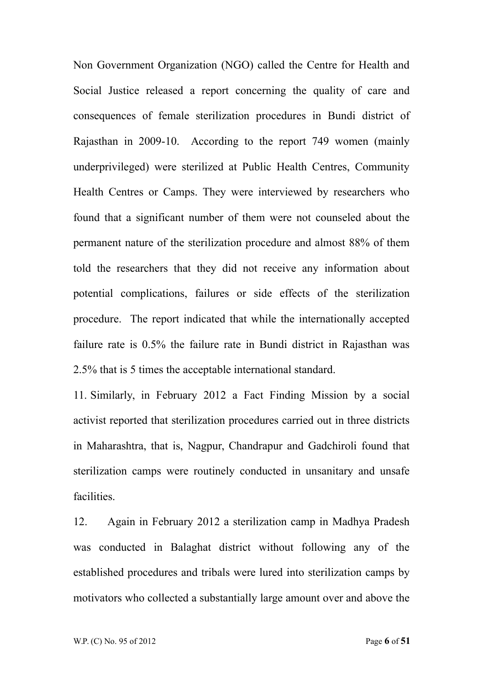Non Government Organization (NGO) called the Centre for Health and Social Justice released a report concerning the quality of care and consequences of female sterilization procedures in Bundi district of Rajasthan in 2009-10. According to the report 749 women (mainly underprivileged) were sterilized at Public Health Centres, Community Health Centres or Camps. They were interviewed by researchers who found that a significant number of them were not counseled about the permanent nature of the sterilization procedure and almost 88% of them told the researchers that they did not receive any information about potential complications, failures or side effects of the sterilization procedure. The report indicated that while the internationally accepted failure rate is 0.5% the failure rate in Bundi district in Rajasthan was 2.5% that is 5 times the acceptable international standard.

11. Similarly, in February 2012 a Fact Finding Mission by a social activist reported that sterilization procedures carried out in three districts in Maharashtra, that is, Nagpur, Chandrapur and Gadchiroli found that sterilization camps were routinely conducted in unsanitary and unsafe facilities.

12. Again in February 2012 a sterilization camp in Madhya Pradesh was conducted in Balaghat district without following any of the established procedures and tribals were lured into sterilization camps by motivators who collected a substantially large amount over and above the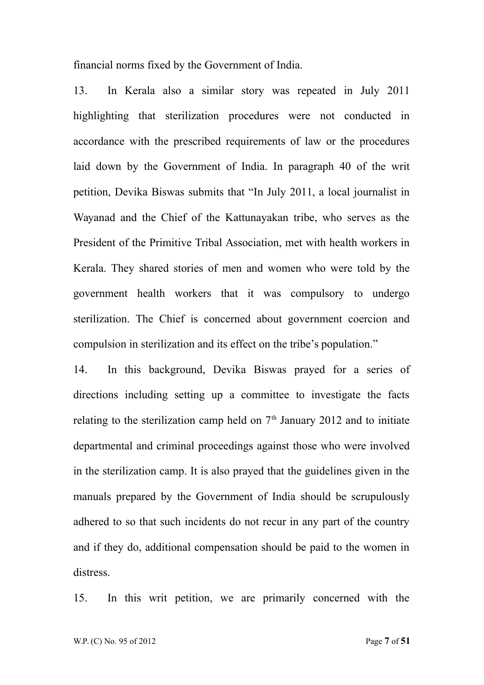financial norms fixed by the Government of India.

13. In Kerala also a similar story was repeated in July 2011 highlighting that sterilization procedures were not conducted in accordance with the prescribed requirements of law or the procedures laid down by the Government of India. In paragraph 40 of the writ petition, Devika Biswas submits that "In July 2011, a local journalist in Wayanad and the Chief of the Kattunayakan tribe, who serves as the President of the Primitive Tribal Association, met with health workers in Kerala. They shared stories of men and women who were told by the government health workers that it was compulsory to undergo sterilization. The Chief is concerned about government coercion and compulsion in sterilization and its effect on the tribe's population."

14. In this background, Devika Biswas prayed for a series of directions including setting up a committee to investigate the facts relating to the sterilization camp held on  $7<sup>th</sup>$  January 2012 and to initiate departmental and criminal proceedings against those who were involved in the sterilization camp. It is also prayed that the guidelines given in the manuals prepared by the Government of India should be scrupulously adhered to so that such incidents do not recur in any part of the country and if they do, additional compensation should be paid to the women in distress.

15. In this writ petition, we are primarily concerned with the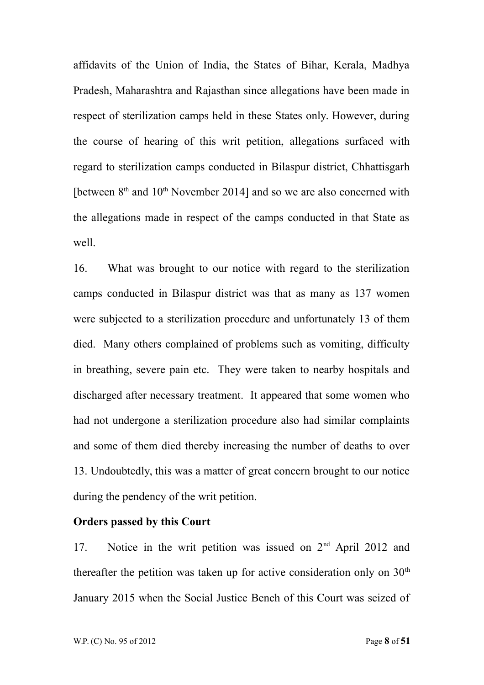affidavits of the Union of India, the States of Bihar, Kerala, Madhya Pradesh, Maharashtra and Rajasthan since allegations have been made in respect of sterilization camps held in these States only. However, during the course of hearing of this writ petition, allegations surfaced with regard to sterilization camps conducted in Bilaspur district, Chhattisgarh [between  $8<sup>th</sup>$  and  $10<sup>th</sup>$  November 2014] and so we are also concerned with the allegations made in respect of the camps conducted in that State as well.

16. What was brought to our notice with regard to the sterilization camps conducted in Bilaspur district was that as many as 137 women were subjected to a sterilization procedure and unfortunately 13 of them died. Many others complained of problems such as vomiting, difficulty in breathing, severe pain etc. They were taken to nearby hospitals and discharged after necessary treatment. It appeared that some women who had not undergone a sterilization procedure also had similar complaints and some of them died thereby increasing the number of deaths to over 13. Undoubtedly, this was a matter of great concern brought to our notice during the pendency of the writ petition.

## **Orders passed by this Court**

17. Notice in the writ petition was issued on 2<sup>nd</sup> April 2012 and thereafter the petition was taken up for active consideration only on  $30<sup>th</sup>$ January 2015 when the Social Justice Bench of this Court was seized of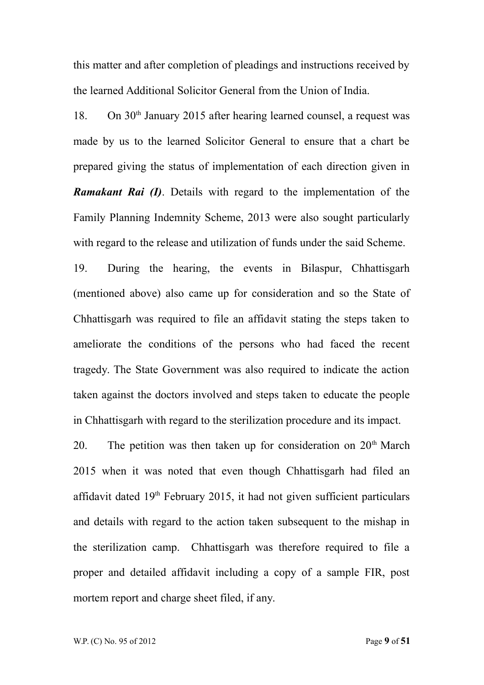this matter and after completion of pleadings and instructions received by the learned Additional Solicitor General from the Union of India.

18. On 30th January 2015 after hearing learned counsel, a request was made by us to the learned Solicitor General to ensure that a chart be prepared giving the status of implementation of each direction given in *Ramakant Rai (I)*. Details with regard to the implementation of the Family Planning Indemnity Scheme, 2013 were also sought particularly with regard to the release and utilization of funds under the said Scheme.

19. During the hearing, the events in Bilaspur, Chhattisgarh (mentioned above) also came up for consideration and so the State of Chhattisgarh was required to file an affidavit stating the steps taken to ameliorate the conditions of the persons who had faced the recent tragedy. The State Government was also required to indicate the action taken against the doctors involved and steps taken to educate the people in Chhattisgarh with regard to the sterilization procedure and its impact.

20. The petition was then taken up for consideration on  $20<sup>th</sup>$  March 2015 when it was noted that even though Chhattisgarh had filed an affidavit dated  $19<sup>th</sup>$  February 2015, it had not given sufficient particulars and details with regard to the action taken subsequent to the mishap in the sterilization camp. Chhattisgarh was therefore required to file a proper and detailed affidavit including a copy of a sample FIR, post mortem report and charge sheet filed, if any.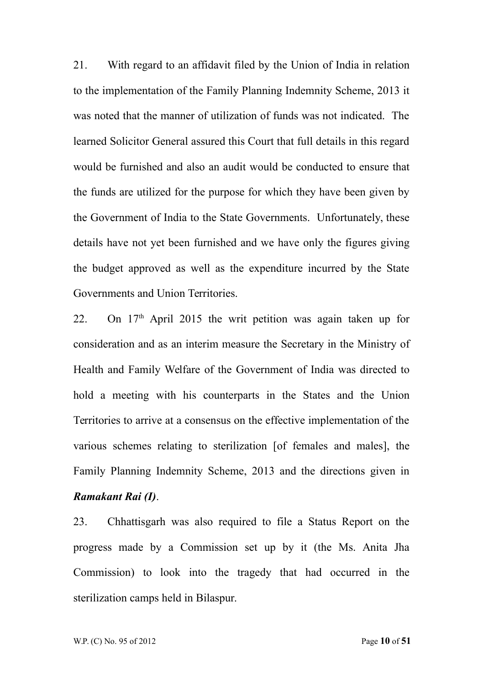21. With regard to an affidavit filed by the Union of India in relation to the implementation of the Family Planning Indemnity Scheme, 2013 it was noted that the manner of utilization of funds was not indicated. The learned Solicitor General assured this Court that full details in this regard would be furnished and also an audit would be conducted to ensure that the funds are utilized for the purpose for which they have been given by the Government of India to the State Governments. Unfortunately, these details have not yet been furnished and we have only the figures giving the budget approved as well as the expenditure incurred by the State Governments and Union Territories.

22. On  $17<sup>th</sup>$  April 2015 the writ petition was again taken up for consideration and as an interim measure the Secretary in the Ministry of Health and Family Welfare of the Government of India was directed to hold a meeting with his counterparts in the States and the Union Territories to arrive at a consensus on the effective implementation of the various schemes relating to sterilization [of females and males], the Family Planning Indemnity Scheme, 2013 and the directions given in *Ramakant Rai (I)*.

23. Chhattisgarh was also required to file a Status Report on the progress made by a Commission set up by it (the Ms. Anita Jha Commission) to look into the tragedy that had occurred in the sterilization camps held in Bilaspur.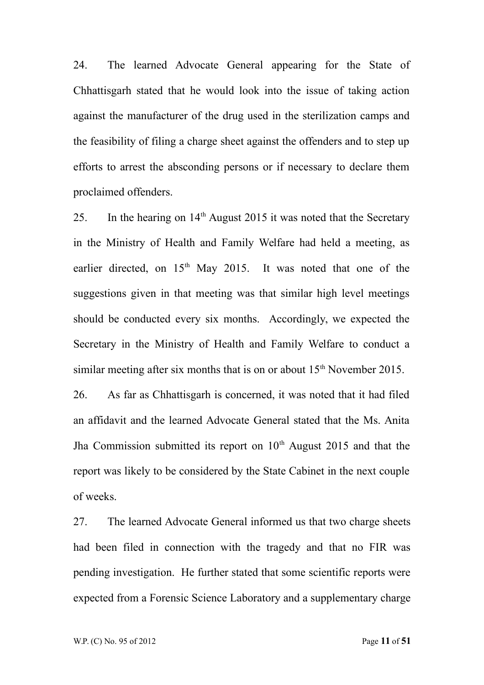24. The learned Advocate General appearing for the State of Chhattisgarh stated that he would look into the issue of taking action against the manufacturer of the drug used in the sterilization camps and the feasibility of filing a charge sheet against the offenders and to step up efforts to arrest the absconding persons or if necessary to declare them proclaimed offenders.

25. In the hearing on  $14<sup>th</sup>$  August 2015 it was noted that the Secretary in the Ministry of Health and Family Welfare had held a meeting, as earlier directed, on 15<sup>th</sup> May 2015. It was noted that one of the suggestions given in that meeting was that similar high level meetings should be conducted every six months. Accordingly, we expected the Secretary in the Ministry of Health and Family Welfare to conduct a similar meeting after six months that is on or about  $15<sup>th</sup>$  November 2015.

26. As far as Chhattisgarh is concerned, it was noted that it had filed an affidavit and the learned Advocate General stated that the Ms. Anita Jha Commission submitted its report on  $10<sup>th</sup>$  August 2015 and that the report was likely to be considered by the State Cabinet in the next couple of weeks.

27. The learned Advocate General informed us that two charge sheets had been filed in connection with the tragedy and that no FIR was pending investigation. He further stated that some scientific reports were expected from a Forensic Science Laboratory and a supplementary charge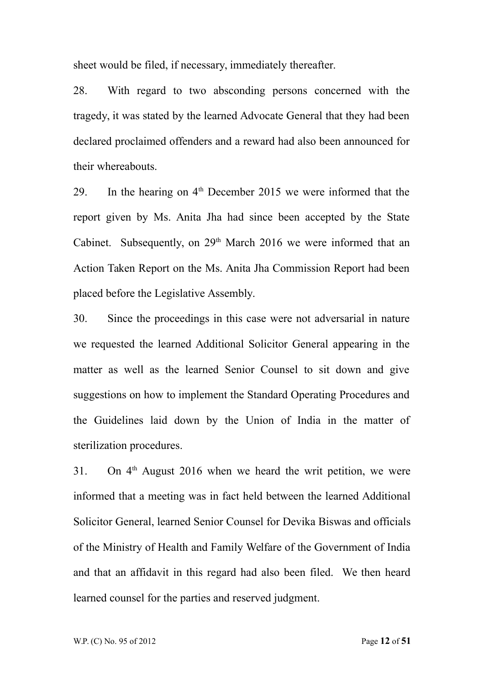sheet would be filed, if necessary, immediately thereafter.

28. With regard to two absconding persons concerned with the tragedy, it was stated by the learned Advocate General that they had been declared proclaimed offenders and a reward had also been announced for their whereabouts.

29. In the hearing on  $4<sup>th</sup>$  December 2015 we were informed that the report given by Ms. Anita Jha had since been accepted by the State Cabinet. Subsequently, on 29<sup>th</sup> March 2016 we were informed that an Action Taken Report on the Ms. Anita Jha Commission Report had been placed before the Legislative Assembly.

30. Since the proceedings in this case were not adversarial in nature we requested the learned Additional Solicitor General appearing in the matter as well as the learned Senior Counsel to sit down and give suggestions on how to implement the Standard Operating Procedures and the Guidelines laid down by the Union of India in the matter of sterilization procedures.

31. On  $4<sup>th</sup>$  August 2016 when we heard the writ petition, we were informed that a meeting was in fact held between the learned Additional Solicitor General, learned Senior Counsel for Devika Biswas and officials of the Ministry of Health and Family Welfare of the Government of India and that an affidavit in this regard had also been filed. We then heard learned counsel for the parties and reserved judgment.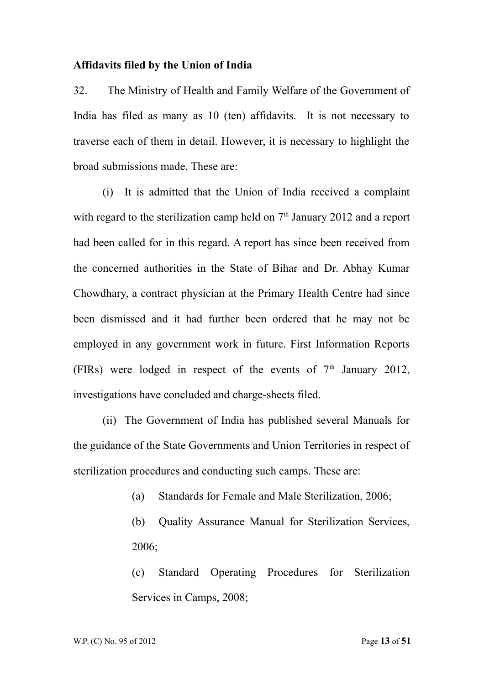#### **Affidavits filed by the Union of India**

32. The Ministry of Health and Family Welfare of the Government of India has filed as many as 10 (ten) affidavits. It is not necessary to traverse each of them in detail. However, it is necessary to highlight the broad submissions made. These are:

(i) It is admitted that the Union of India received a complaint with regard to the sterilization camp held on  $7<sup>th</sup>$  January 2012 and a report had been called for in this regard. A report has since been received from the concerned authorities in the State of Bihar and Dr. Abhay Kumar Chowdhary, a contract physician at the Primary Health Centre had since been dismissed and it had further been ordered that he may not be employed in any government work in future. First Information Reports (FIRs) were lodged in respect of the events of  $7<sup>th</sup>$  January 2012, investigations have concluded and charge-sheets filed.

(ii) The Government of India has published several Manuals for the guidance of the State Governments and Union Territories in respect of sterilization procedures and conducting such camps. These are:

- (a) Standards for Female and Male Sterilization, 2006;
- (b) Quality Assurance Manual for Sterilization Services, 2006;

(c) Standard Operating Procedures for Sterilization Services in Camps, 2008;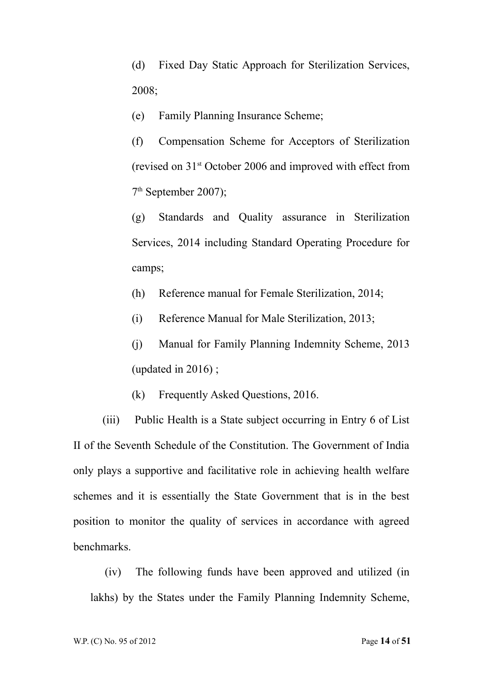(d) Fixed Day Static Approach for Sterilization Services, 2008;

(e) Family Planning Insurance Scheme;

(f) Compensation Scheme for Acceptors of Sterilization (revised on 31st October 2006 and improved with effect from 7 th September 2007);

(g) Standards and Quality assurance in Sterilization Services, 2014 including Standard Operating Procedure for camps;

(h) Reference manual for Female Sterilization, 2014;

(i) Reference Manual for Male Sterilization, 2013;

(j) Manual for Family Planning Indemnity Scheme, 2013 (updated in 2016) ;

(k) Frequently Asked Questions, 2016.

(iii) Public Health is a State subject occurring in Entry 6 of List II of the Seventh Schedule of the Constitution. The Government of India only plays a supportive and facilitative role in achieving health welfare schemes and it is essentially the State Government that is in the best position to monitor the quality of services in accordance with agreed benchmarks.

 (iv) The following funds have been approved and utilized (in lakhs) by the States under the Family Planning Indemnity Scheme,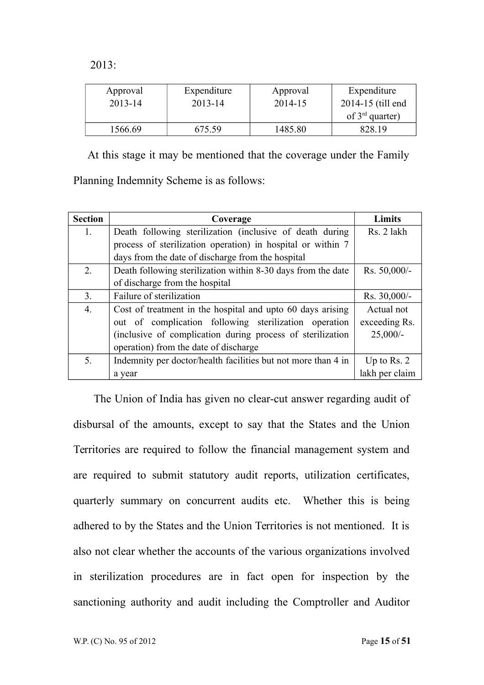2013:

| Approval    | Expenditure | Approval | Expenditure          |
|-------------|-------------|----------|----------------------|
| $2013 - 14$ | 2013-14     | 2014-15  | 2014-15 (till end    |
|             |             |          | of $3^{rd}$ quarter) |
| 1566.69     | 675.59      | 1485.80  | 828.19               |

At this stage it may be mentioned that the coverage under the Family

Planning Indemnity Scheme is as follows:

| <b>Section</b>   | Coverage                                                      | <b>Limits</b>  |
|------------------|---------------------------------------------------------------|----------------|
| 1.               | Death following sterilization (inclusive of death during      | Rs. 2 lakh     |
|                  | process of sterilization operation) in hospital or within 7   |                |
|                  | days from the date of discharge from the hospital             |                |
| 2.               | Death following sterilization within 8-30 days from the date  | Rs. 50,000/-   |
|                  | of discharge from the hospital                                |                |
| 3.               | Failure of sterilization                                      | $Rs. 30,000/-$ |
| $\overline{4}$ . | Cost of treatment in the hospital and upto 60 days arising    | Actual not     |
|                  | out of complication following sterilization operation         | exceeding Rs.  |
|                  | (inclusive of complication during process of sterilization    | $25,000/-$     |
|                  | operation) from the date of discharge                         |                |
| 5.               | Indemnity per doctor/health facilities but not more than 4 in | Up to Rs. $2$  |
|                  | a year                                                        | lakh per claim |

 The Union of India has given no clear-cut answer regarding audit of disbursal of the amounts, except to say that the States and the Union Territories are required to follow the financial management system and are required to submit statutory audit reports, utilization certificates, quarterly summary on concurrent audits etc. Whether this is being adhered to by the States and the Union Territories is not mentioned. It is also not clear whether the accounts of the various organizations involved in sterilization procedures are in fact open for inspection by the sanctioning authority and audit including the Comptroller and Auditor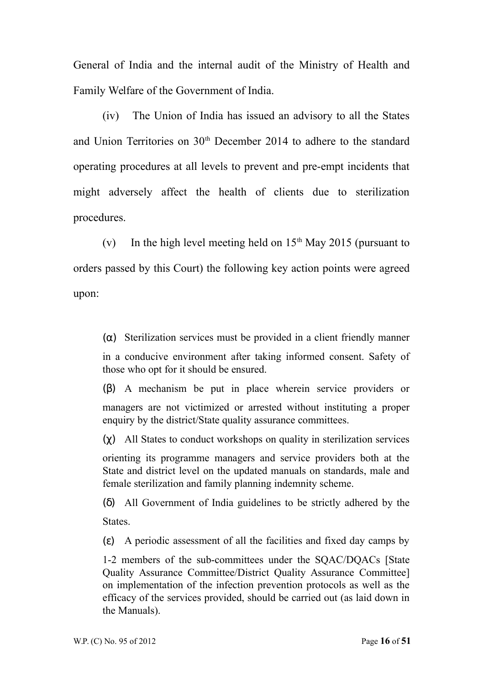General of India and the internal audit of the Ministry of Health and Family Welfare of the Government of India.

(iv) The Union of India has issued an advisory to all the States and Union Territories on 30<sup>th</sup> December 2014 to adhere to the standard operating procedures at all levels to prevent and pre-empt incidents that might adversely affect the health of clients due to sterilization procedures.

(v) In the high level meeting held on  $15<sup>th</sup>$  May 2015 (pursuant to orders passed by this Court) the following key action points were agreed upon:

(α) Sterilization services must be provided in a client friendly manner

in a conducive environment after taking informed consent. Safety of those who opt for it should be ensured.

(β) A mechanism be put in place wherein service providers or managers are not victimized or arrested without instituting a proper enquiry by the district/State quality assurance committees.

(χ) All States to conduct workshops on quality in sterilization services

orienting its programme managers and service providers both at the State and district level on the updated manuals on standards, male and female sterilization and family planning indemnity scheme.

(δ) All Government of India guidelines to be strictly adhered by the **States** 

(ε) A periodic assessment of all the facilities and fixed day camps by

1-2 members of the sub-committees under the SQAC/DQACs [State Quality Assurance Committee/District Quality Assurance Committee] on implementation of the infection prevention protocols as well as the efficacy of the services provided, should be carried out (as laid down in the Manuals).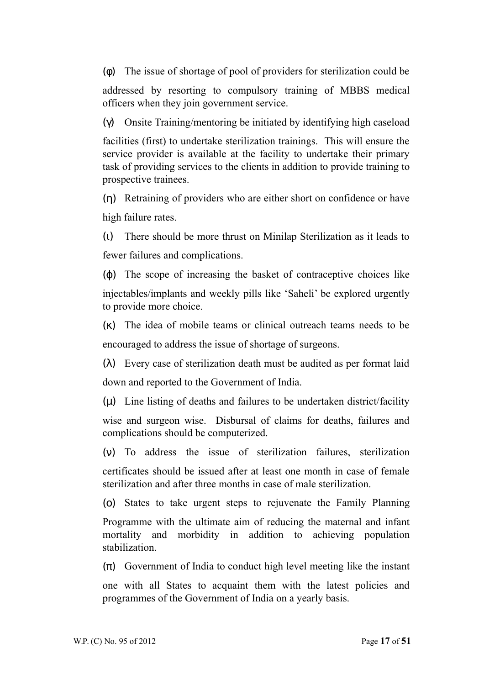(φ) The issue of shortage of pool of providers for sterilization could be

addressed by resorting to compulsory training of MBBS medical officers when they join government service.

(γ) Onsite Training/mentoring be initiated by identifying high caseload

facilities (first) to undertake sterilization trainings. This will ensure the service provider is available at the facility to undertake their primary task of providing services to the clients in addition to provide training to prospective trainees.

(η) Retraining of providers who are either short on confidence or have high failure rates.

(ι) There should be more thrust on Minilap Sterilization as it leads to fewer failures and complications.

 $(\varphi)$  The scope of increasing the basket of contraceptive choices like injectables/implants and weekly pills like 'Saheli' be explored urgently to provide more choice.

(κ) The idea of mobile teams or clinical outreach teams needs to be encouraged to address the issue of shortage of surgeons.

(λ) Every case of sterilization death must be audited as per format laid down and reported to the Government of India.

 $(\mu)$  Line listing of deaths and failures to be undertaken district/facility

wise and surgeon wise. Disbursal of claims for deaths, failures and complications should be computerized.

(ν) To address the issue of sterilization failures, sterilization certificates should be issued after at least one month in case of female sterilization and after three months in case of male sterilization.

(ο) States to take urgent steps to rejuvenate the Family Planning

Programme with the ultimate aim of reducing the maternal and infant mortality and morbidity in addition to achieving population stabilization.

 $(\pi)$  Government of India to conduct high level meeting like the instant

one with all States to acquaint them with the latest policies and programmes of the Government of India on a yearly basis.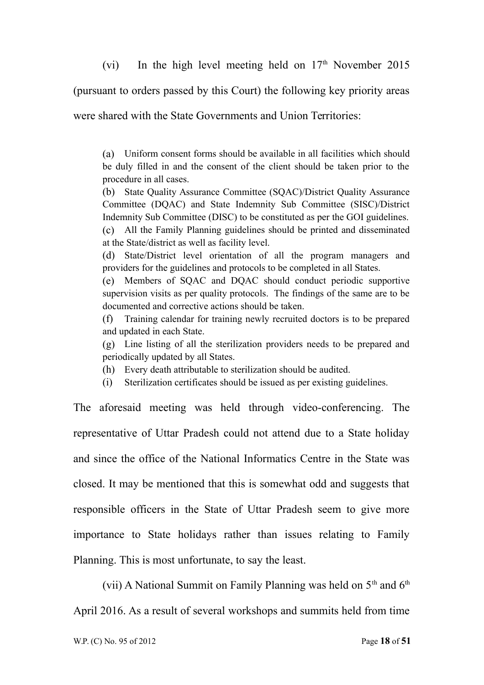(vi) In the high level meeting held on  $17<sup>th</sup>$  November 2015

(pursuant to orders passed by this Court) the following key priority areas

were shared with the State Governments and Union Territories:

(a) Uniform consent forms should be available in all facilities which should be duly filled in and the consent of the client should be taken prior to the procedure in all cases.

(b) State Quality Assurance Committee (SQAC)/District Quality Assurance Committee (DQAC) and State Indemnity Sub Committee (SISC)/District Indemnity Sub Committee (DISC) to be constituted as per the GOI guidelines.

(c) All the Family Planning guidelines should be printed and disseminated at the State/district as well as facility level.

(d) State/District level orientation of all the program managers and providers for the guidelines and protocols to be completed in all States.

(e) Members of SQAC and DQAC should conduct periodic supportive supervision visits as per quality protocols. The findings of the same are to be documented and corrective actions should be taken.

(f) Training calendar for training newly recruited doctors is to be prepared and updated in each State.

(g) Line listing of all the sterilization providers needs to be prepared and periodically updated by all States.

- (h) Every death attributable to sterilization should be audited.
- (i) Sterilization certificates should be issued as per existing guidelines.

The aforesaid meeting was held through video-conferencing. The representative of Uttar Pradesh could not attend due to a State holiday and since the office of the National Informatics Centre in the State was closed. It may be mentioned that this is somewhat odd and suggests that responsible officers in the State of Uttar Pradesh seem to give more importance to State holidays rather than issues relating to Family Planning. This is most unfortunate, to say the least.

(vii) A National Summit on Family Planning was held on  $5<sup>th</sup>$  and  $6<sup>th</sup>$ April 2016. As a result of several workshops and summits held from time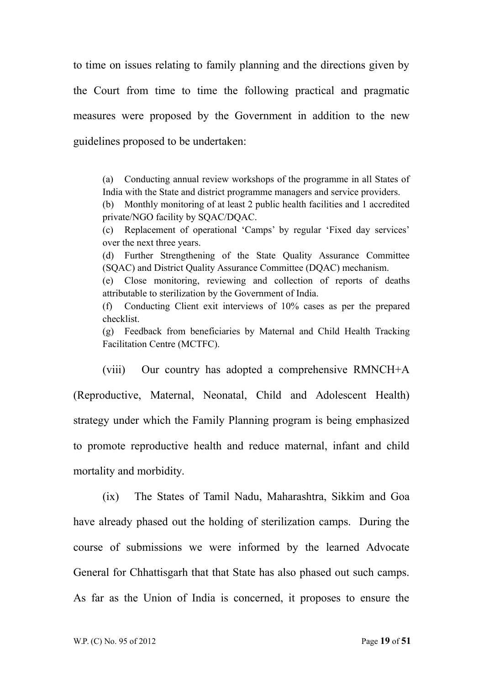to time on issues relating to family planning and the directions given by the Court from time to time the following practical and pragmatic measures were proposed by the Government in addition to the new guidelines proposed to be undertaken:

(a) Conducting annual review workshops of the programme in all States of India with the State and district programme managers and service providers.

(b) Monthly monitoring of at least 2 public health facilities and 1 accredited private/NGO facility by SQAC/DQAC.

(c) Replacement of operational 'Camps' by regular 'Fixed day services' over the next three years.

(d) Further Strengthening of the State Quality Assurance Committee (SQAC) and District Quality Assurance Committee (DQAC) mechanism.

(e) Close monitoring, reviewing and collection of reports of deaths attributable to sterilization by the Government of India.

(f) Conducting Client exit interviews of 10% cases as per the prepared checklist.

(g) Feedback from beneficiaries by Maternal and Child Health Tracking Facilitation Centre (MCTFC).

(viii) Our country has adopted a comprehensive RMNCH+A (Reproductive, Maternal, Neonatal, Child and Adolescent Health) strategy under which the Family Planning program is being emphasized to promote reproductive health and reduce maternal, infant and child mortality and morbidity.

(ix) The States of Tamil Nadu, Maharashtra, Sikkim and Goa have already phased out the holding of sterilization camps. During the course of submissions we were informed by the learned Advocate General for Chhattisgarh that that State has also phased out such camps. As far as the Union of India is concerned, it proposes to ensure the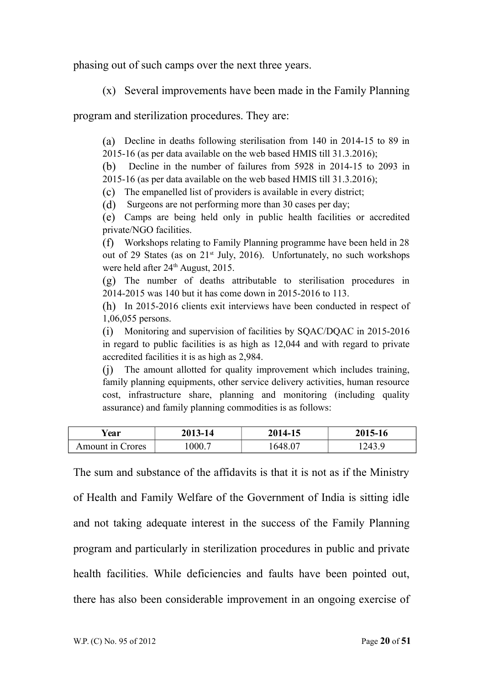phasing out of such camps over the next three years.

(x) Several improvements have been made in the Family Planning

program and sterilization procedures. They are:

(a) Decline in deaths following sterilisation from 140 in 2014-15 to 89 in

2015-16 (as per data available on the web based HMIS till 31.3.2016);

(b) Decline in the number of failures from 5928 in 2014-15 to 2093 in 2015-16 (as per data available on the web based HMIS till 31.3.2016);

(c) The empanelled list of providers is available in every district;

(d) Surgeons are not performing more than 30 cases per day;

(e) Camps are being held only in public health facilities or accredited private/NGO facilities.

(f) Workshops relating to Family Planning programme have been held in 28 out of 29 States (as on  $21^{st}$  July, 2016). Unfortunately, no such workshops were held after  $24<sup>th</sup>$  August, 2015.

(g) The number of deaths attributable to sterilisation procedures in 2014-2015 was 140 but it has come down in 2015-2016 to 113.

(h) In 2015-2016 clients exit interviews have been conducted in respect of 1,06,055 persons.

(i) Monitoring and supervision of facilities by SQAC/DQAC in 2015-2016 in regard to public facilities is as high as 12,044 and with regard to private accredited facilities it is as high as 2,984.

(j) The amount allotted for quality improvement which includes training, family planning equipments, other service delivery activities, human resource cost, infrastructure share, planning and monitoring (including quality assurance) and family planning commodities is as follows:

| rear             | 2013-14 | 2014-15 | 2015-16 |
|------------------|---------|---------|---------|
| Amount in Crores | 000.7   | .648.07 | 1243.9  |

The sum and substance of the affidavits is that it is not as if the Ministry of Health and Family Welfare of the Government of India is sitting idle and not taking adequate interest in the success of the Family Planning program and particularly in sterilization procedures in public and private health facilities. While deficiencies and faults have been pointed out, there has also been considerable improvement in an ongoing exercise of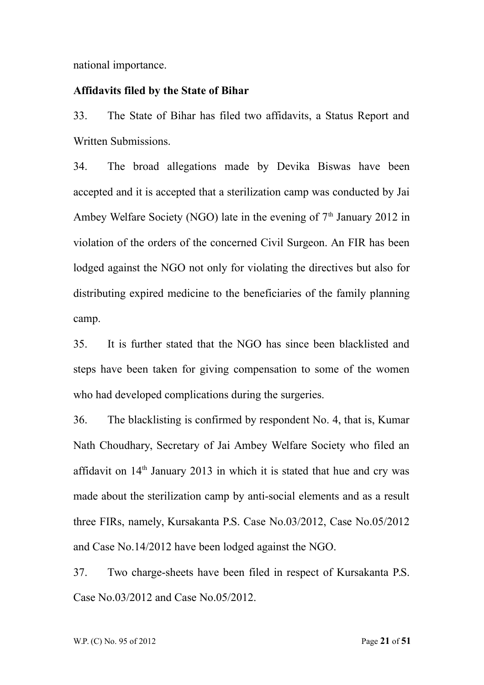national importance.

## **Affidavits filed by the State of Bihar**

33. The State of Bihar has filed two affidavits, a Status Report and Written Submissions.

34. The broad allegations made by Devika Biswas have been accepted and it is accepted that a sterilization camp was conducted by Jai Ambey Welfare Society (NGO) late in the evening of  $7<sup>th</sup>$  January 2012 in violation of the orders of the concerned Civil Surgeon. An FIR has been lodged against the NGO not only for violating the directives but also for distributing expired medicine to the beneficiaries of the family planning camp.

35. It is further stated that the NGO has since been blacklisted and steps have been taken for giving compensation to some of the women who had developed complications during the surgeries.

36. The blacklisting is confirmed by respondent No. 4, that is, Kumar Nath Choudhary, Secretary of Jai Ambey Welfare Society who filed an affidavit on  $14<sup>th</sup>$  January 2013 in which it is stated that hue and cry was made about the sterilization camp by anti-social elements and as a result three FIRs, namely, Kursakanta P.S. Case No.03/2012, Case No.05/2012 and Case No.14/2012 have been lodged against the NGO.

37. Two charge-sheets have been filed in respect of Kursakanta P.S. Case No.03/2012 and Case No.05/2012.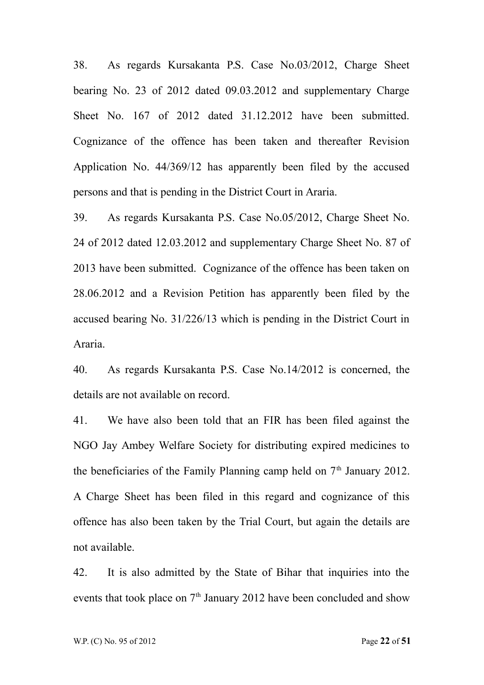38. As regards Kursakanta P.S. Case No.03/2012, Charge Sheet bearing No. 23 of 2012 dated 09.03.2012 and supplementary Charge Sheet No. 167 of 2012 dated 31.12.2012 have been submitted. Cognizance of the offence has been taken and thereafter Revision Application No. 44/369/12 has apparently been filed by the accused persons and that is pending in the District Court in Araria.

39. As regards Kursakanta P.S. Case No.05/2012, Charge Sheet No. 24 of 2012 dated 12.03.2012 and supplementary Charge Sheet No. 87 of 2013 have been submitted. Cognizance of the offence has been taken on 28.06.2012 and a Revision Petition has apparently been filed by the accused bearing No. 31/226/13 which is pending in the District Court in Araria.

40. As regards Kursakanta P.S. Case No.14/2012 is concerned, the details are not available on record.

41. We have also been told that an FIR has been filed against the NGO Jay Ambey Welfare Society for distributing expired medicines to the beneficiaries of the Family Planning camp held on  $7<sup>th</sup>$  January 2012. A Charge Sheet has been filed in this regard and cognizance of this offence has also been taken by the Trial Court, but again the details are not available.

42. It is also admitted by the State of Bihar that inquiries into the events that took place on  $7<sup>th</sup>$  January 2012 have been concluded and show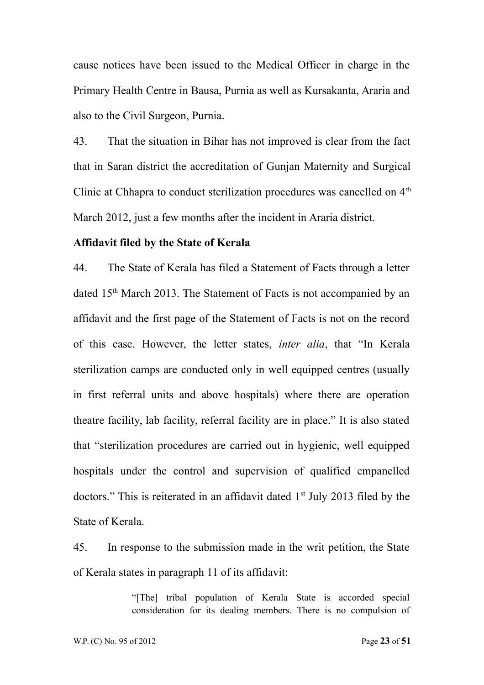cause notices have been issued to the Medical Officer in charge in the Primary Health Centre in Bausa, Purnia as well as Kursakanta, Araria and also to the Civil Surgeon, Purnia.

43. That the situation in Bihar has not improved is clear from the fact that in Saran district the accreditation of Gunjan Maternity and Surgical Clinic at Chhapra to conduct sterilization procedures was cancelled on  $4<sup>th</sup>$ March 2012, just a few months after the incident in Araria district.

#### **Affidavit filed by the State of Kerala**

44. The State of Kerala has filed a Statement of Facts through a letter dated 15<sup>th</sup> March 2013. The Statement of Facts is not accompanied by an affidavit and the first page of the Statement of Facts is not on the record of this case. However, the letter states, *inter alia*, that "In Kerala sterilization camps are conducted only in well equipped centres (usually in first referral units and above hospitals) where there are operation theatre facility, lab facility, referral facility are in place." It is also stated that "sterilization procedures are carried out in hygienic, well equipped hospitals under the control and supervision of qualified empanelled doctors." This is reiterated in an affidavit dated  $1<sup>st</sup>$  July 2013 filed by the State of Kerala.

45. In response to the submission made in the writ petition, the State of Kerala states in paragraph 11 of its affidavit:

> "[The] tribal population of Kerala State is accorded special consideration for its dealing members. There is no compulsion of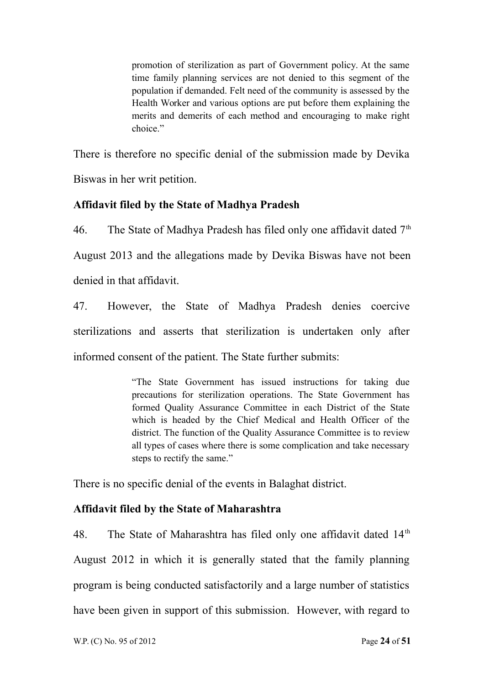promotion of sterilization as part of Government policy. At the same time family planning services are not denied to this segment of the population if demanded. Felt need of the community is assessed by the Health Worker and various options are put before them explaining the merits and demerits of each method and encouraging to make right choice."

There is therefore no specific denial of the submission made by Devika Biswas in her writ petition.

# **Affidavit filed by the State of Madhya Pradesh**

46. The State of Madhya Pradesh has filed only one affidavit dated  $7<sup>th</sup>$ August 2013 and the allegations made by Devika Biswas have not been denied in that affidavit.

47. However, the State of Madhya Pradesh denies coercive sterilizations and asserts that sterilization is undertaken only after informed consent of the patient. The State further submits:

> "The State Government has issued instructions for taking due precautions for sterilization operations. The State Government has formed Quality Assurance Committee in each District of the State which is headed by the Chief Medical and Health Officer of the district. The function of the Quality Assurance Committee is to review all types of cases where there is some complication and take necessary steps to rectify the same."

There is no specific denial of the events in Balaghat district.

# **Affidavit filed by the State of Maharashtra**

48. The State of Maharashtra has filed only one affidavit dated  $14<sup>th</sup>$ August 2012 in which it is generally stated that the family planning program is being conducted satisfactorily and a large number of statistics have been given in support of this submission. However, with regard to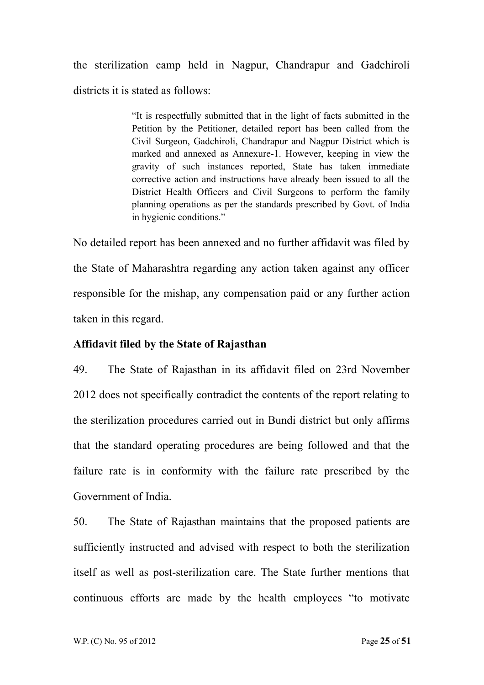the sterilization camp held in Nagpur, Chandrapur and Gadchiroli districts it is stated as follows:

> "It is respectfully submitted that in the light of facts submitted in the Petition by the Petitioner, detailed report has been called from the Civil Surgeon, Gadchiroli, Chandrapur and Nagpur District which is marked and annexed as Annexure-1. However, keeping in view the gravity of such instances reported, State has taken immediate corrective action and instructions have already been issued to all the District Health Officers and Civil Surgeons to perform the family planning operations as per the standards prescribed by Govt. of India in hygienic conditions."

No detailed report has been annexed and no further affidavit was filed by the State of Maharashtra regarding any action taken against any officer responsible for the mishap, any compensation paid or any further action taken in this regard.

## **Affidavit filed by the State of Rajasthan**

49. The State of Rajasthan in its affidavit filed on 23rd November 2012 does not specifically contradict the contents of the report relating to the sterilization procedures carried out in Bundi district but only affirms that the standard operating procedures are being followed and that the failure rate is in conformity with the failure rate prescribed by the Government of India.

50. The State of Rajasthan maintains that the proposed patients are sufficiently instructed and advised with respect to both the sterilization itself as well as post-sterilization care. The State further mentions that continuous efforts are made by the health employees "to motivate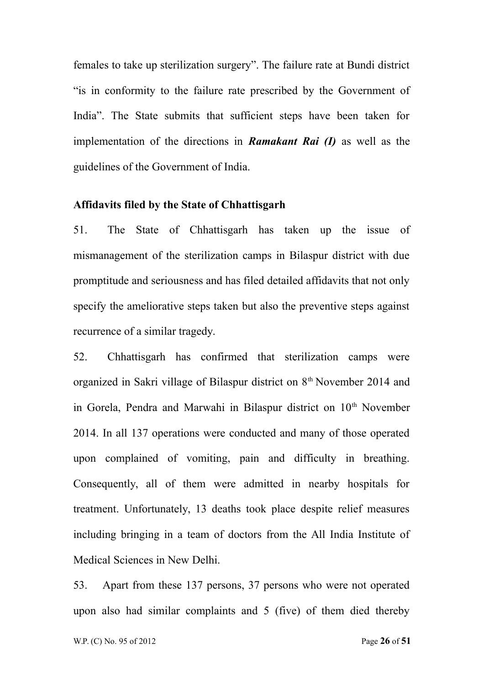females to take up sterilization surgery". The failure rate at Bundi district "is in conformity to the failure rate prescribed by the Government of India". The State submits that sufficient steps have been taken for implementation of the directions in *Ramakant Rai (I)* as well as the guidelines of the Government of India.

#### **Affidavits filed by the State of Chhattisgarh**

51. The State of Chhattisgarh has taken up the issue of mismanagement of the sterilization camps in Bilaspur district with due promptitude and seriousness and has filed detailed affidavits that not only specify the ameliorative steps taken but also the preventive steps against recurrence of a similar tragedy.

52. Chhattisgarh has confirmed that sterilization camps were organized in Sakri village of Bilaspur district on 8th November 2014 and in Gorela, Pendra and Marwahi in Bilaspur district on 10<sup>th</sup> November 2014. In all 137 operations were conducted and many of those operated upon complained of vomiting, pain and difficulty in breathing. Consequently, all of them were admitted in nearby hospitals for treatment. Unfortunately, 13 deaths took place despite relief measures including bringing in a team of doctors from the All India Institute of Medical Sciences in New Delhi.

53. Apart from these 137 persons, 37 persons who were not operated upon also had similar complaints and 5 (five) of them died thereby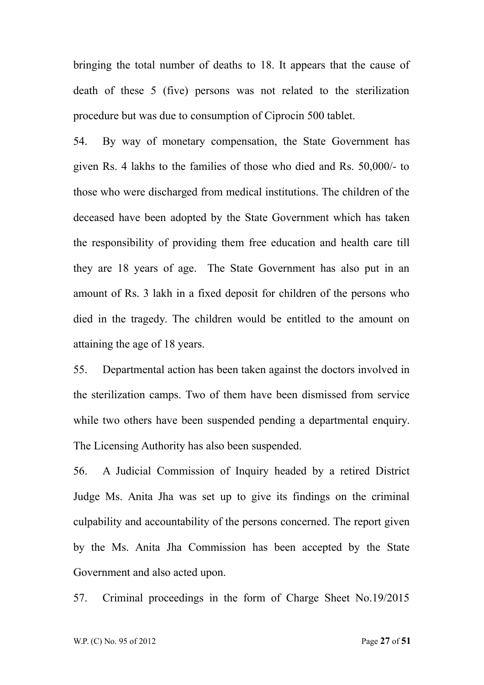bringing the total number of deaths to 18. It appears that the cause of death of these 5 (five) persons was not related to the sterilization procedure but was due to consumption of Ciprocin 500 tablet.

54. By way of monetary compensation, the State Government has given Rs. 4 lakhs to the families of those who died and Rs. 50,000/- to those who were discharged from medical institutions. The children of the deceased have been adopted by the State Government which has taken the responsibility of providing them free education and health care till they are 18 years of age. The State Government has also put in an amount of Rs. 3 lakh in a fixed deposit for children of the persons who died in the tragedy. The children would be entitled to the amount on attaining the age of 18 years.

55. Departmental action has been taken against the doctors involved in the sterilization camps. Two of them have been dismissed from service while two others have been suspended pending a departmental enquiry. The Licensing Authority has also been suspended.

56. A Judicial Commission of Inquiry headed by a retired District Judge Ms. Anita Jha was set up to give its findings on the criminal culpability and accountability of the persons concerned. The report given by the Ms. Anita Jha Commission has been accepted by the State Government and also acted upon.

57. Criminal proceedings in the form of Charge Sheet No.19/2015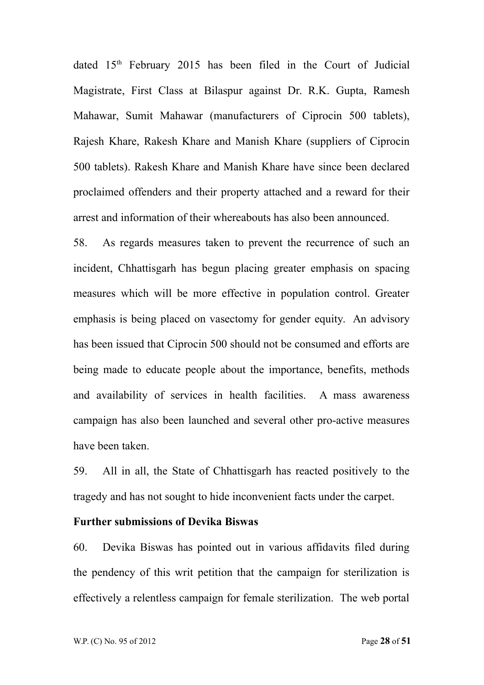dated 15<sup>th</sup> February 2015 has been filed in the Court of Judicial Magistrate, First Class at Bilaspur against Dr. R.K. Gupta, Ramesh Mahawar, Sumit Mahawar (manufacturers of Ciprocin 500 tablets), Rajesh Khare, Rakesh Khare and Manish Khare (suppliers of Ciprocin 500 tablets). Rakesh Khare and Manish Khare have since been declared proclaimed offenders and their property attached and a reward for their arrest and information of their whereabouts has also been announced.

58. As regards measures taken to prevent the recurrence of such an incident, Chhattisgarh has begun placing greater emphasis on spacing measures which will be more effective in population control. Greater emphasis is being placed on vasectomy for gender equity. An advisory has been issued that Ciprocin 500 should not be consumed and efforts are being made to educate people about the importance, benefits, methods and availability of services in health facilities. A mass awareness campaign has also been launched and several other pro-active measures have been taken.

59. All in all, the State of Chhattisgarh has reacted positively to the tragedy and has not sought to hide inconvenient facts under the carpet.

### **Further submissions of Devika Biswas**

60. Devika Biswas has pointed out in various affidavits filed during the pendency of this writ petition that the campaign for sterilization is effectively a relentless campaign for female sterilization. The web portal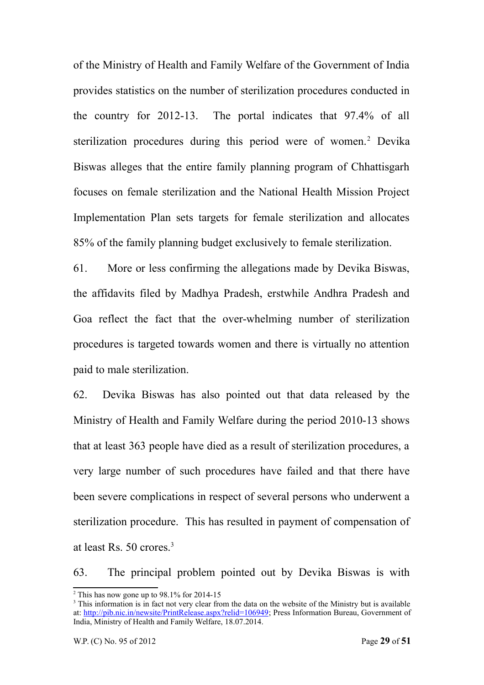of the Ministry of Health and Family Welfare of the Government of India provides statistics on the number of sterilization procedures conducted in the country for 2012-13. The portal indicates that 97.4% of all sterilization procedures during this period were of women.<sup>[2](#page-28-0)</sup> Devika Biswas alleges that the entire family planning program of Chhattisgarh focuses on female sterilization and the National Health Mission Project Implementation Plan sets targets for female sterilization and allocates 85% of the family planning budget exclusively to female sterilization.

61. More or less confirming the allegations made by Devika Biswas, the affidavits filed by Madhya Pradesh, erstwhile Andhra Pradesh and Goa reflect the fact that the over-whelming number of sterilization procedures is targeted towards women and there is virtually no attention paid to male sterilization.

62. Devika Biswas has also pointed out that data released by the Ministry of Health and Family Welfare during the period 2010-13 shows that at least 363 people have died as a result of sterilization procedures, a very large number of such procedures have failed and that there have been severe complications in respect of several persons who underwent a sterilization procedure. This has resulted in payment of compensation of at least Rs. 50 crores.[3](#page-28-1)

63. The principal problem pointed out by Devika Biswas is with

<span id="page-28-0"></span> $2$  This has now gone up to 98.1% for 2014-15

<span id="page-28-1"></span><sup>&</sup>lt;sup>3</sup> This information is in fact not very clear from the data on the website of the Ministry but is available at: [http://pib.nic.in/newsite/PrintRelease.aspx?relid=106949;](http://pib.nic.in/newsite/PrintRelease.aspx?relid=106949) Press Information Bureau, Government of India, Ministry of Health and Family Welfare, 18.07.2014.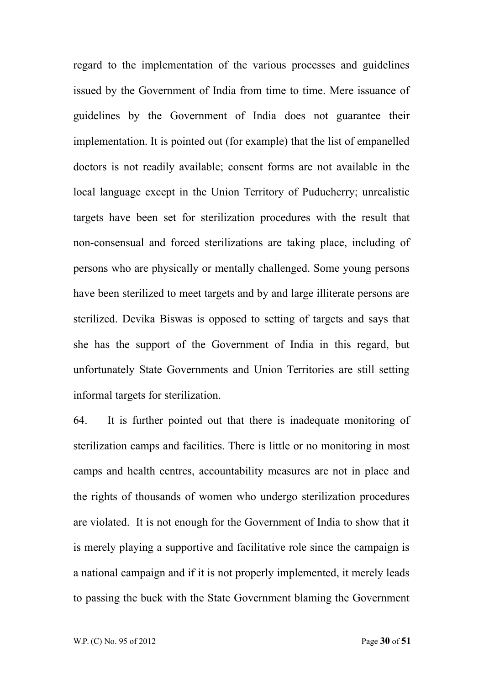regard to the implementation of the various processes and guidelines issued by the Government of India from time to time. Mere issuance of guidelines by the Government of India does not guarantee their implementation. It is pointed out (for example) that the list of empanelled doctors is not readily available; consent forms are not available in the local language except in the Union Territory of Puducherry; unrealistic targets have been set for sterilization procedures with the result that non-consensual and forced sterilizations are taking place, including of persons who are physically or mentally challenged. Some young persons have been sterilized to meet targets and by and large illiterate persons are sterilized. Devika Biswas is opposed to setting of targets and says that she has the support of the Government of India in this regard, but unfortunately State Governments and Union Territories are still setting informal targets for sterilization.

64. It is further pointed out that there is inadequate monitoring of sterilization camps and facilities. There is little or no monitoring in most camps and health centres, accountability measures are not in place and the rights of thousands of women who undergo sterilization procedures are violated. It is not enough for the Government of India to show that it is merely playing a supportive and facilitative role since the campaign is a national campaign and if it is not properly implemented, it merely leads to passing the buck with the State Government blaming the Government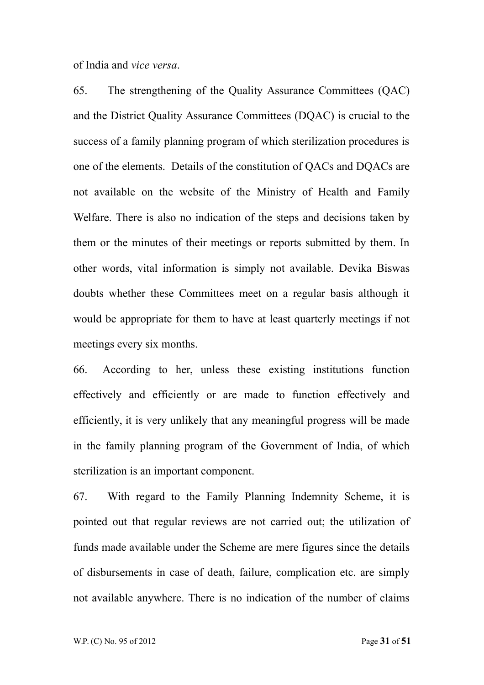of India and *vice versa*.

65. The strengthening of the Quality Assurance Committees (QAC) and the District Quality Assurance Committees (DQAC) is crucial to the success of a family planning program of which sterilization procedures is one of the elements. Details of the constitution of QACs and DQACs are not available on the website of the Ministry of Health and Family Welfare. There is also no indication of the steps and decisions taken by them or the minutes of their meetings or reports submitted by them. In other words, vital information is simply not available. Devika Biswas doubts whether these Committees meet on a regular basis although it would be appropriate for them to have at least quarterly meetings if not meetings every six months.

66. According to her, unless these existing institutions function effectively and efficiently or are made to function effectively and efficiently, it is very unlikely that any meaningful progress will be made in the family planning program of the Government of India, of which sterilization is an important component.

67. With regard to the Family Planning Indemnity Scheme, it is pointed out that regular reviews are not carried out; the utilization of funds made available under the Scheme are mere figures since the details of disbursements in case of death, failure, complication etc. are simply not available anywhere. There is no indication of the number of claims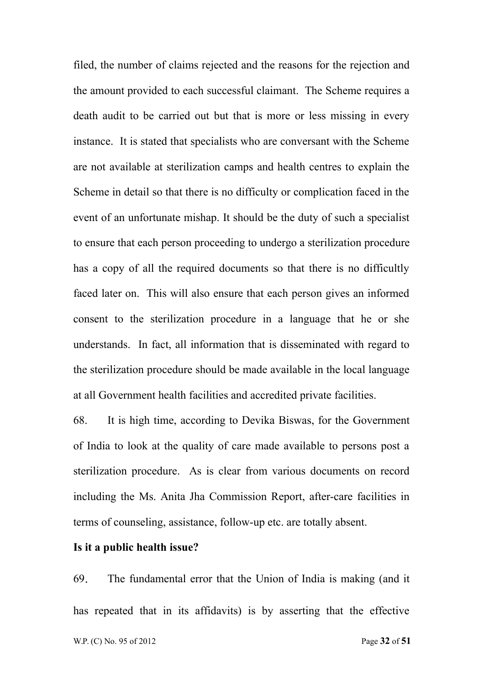filed, the number of claims rejected and the reasons for the rejection and the amount provided to each successful claimant. The Scheme requires a death audit to be carried out but that is more or less missing in every instance. It is stated that specialists who are conversant with the Scheme are not available at sterilization camps and health centres to explain the Scheme in detail so that there is no difficulty or complication faced in the event of an unfortunate mishap. It should be the duty of such a specialist to ensure that each person proceeding to undergo a sterilization procedure has a copy of all the required documents so that there is no difficultly faced later on. This will also ensure that each person gives an informed consent to the sterilization procedure in a language that he or she understands. In fact, all information that is disseminated with regard to the sterilization procedure should be made available in the local language at all Government health facilities and accredited private facilities.

68. It is high time, according to Devika Biswas, for the Government of India to look at the quality of care made available to persons post a sterilization procedure. As is clear from various documents on record including the Ms. Anita Jha Commission Report, after-care facilities in terms of counseling, assistance, follow-up etc. are totally absent.

### **Is it a public health issue?**

69. The fundamental error that the Union of India is making (and it has repeated that in its affidavits) is by asserting that the effective W.P. (C) No. 95 of 2012 **Page 32** of **51**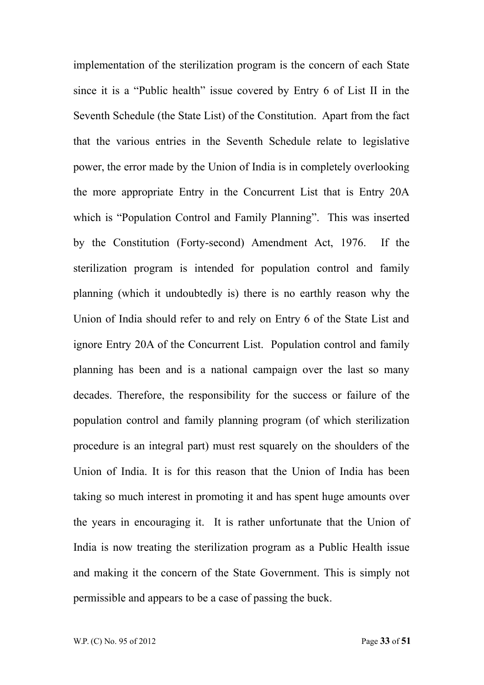implementation of the sterilization program is the concern of each State since it is a "Public health" issue covered by Entry 6 of List II in the Seventh Schedule (the State List) of the Constitution. Apart from the fact that the various entries in the Seventh Schedule relate to legislative power, the error made by the Union of India is in completely overlooking the more appropriate Entry in the Concurrent List that is Entry 20A which is "Population Control and Family Planning". This was inserted by the Constitution (Forty-second) Amendment Act, 1976. If the sterilization program is intended for population control and family planning (which it undoubtedly is) there is no earthly reason why the Union of India should refer to and rely on Entry 6 of the State List and ignore Entry 20A of the Concurrent List. Population control and family planning has been and is a national campaign over the last so many decades. Therefore, the responsibility for the success or failure of the population control and family planning program (of which sterilization procedure is an integral part) must rest squarely on the shoulders of the Union of India. It is for this reason that the Union of India has been taking so much interest in promoting it and has spent huge amounts over the years in encouraging it. It is rather unfortunate that the Union of India is now treating the sterilization program as a Public Health issue and making it the concern of the State Government. This is simply not permissible and appears to be a case of passing the buck.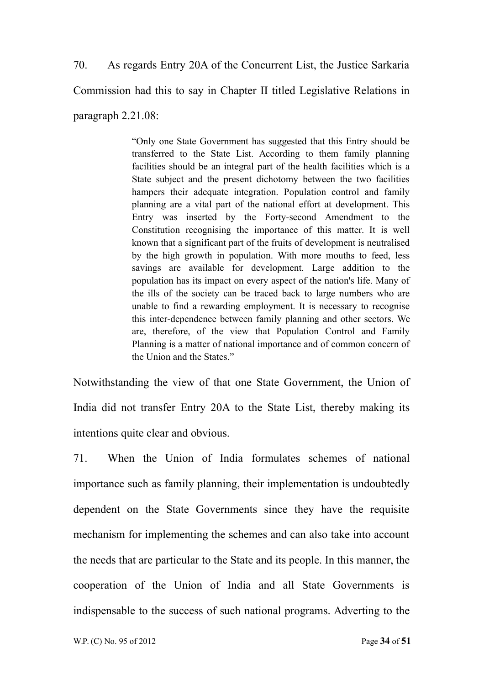70. As regards Entry 20A of the Concurrent List, the Justice Sarkaria Commission had this to say in Chapter II titled Legislative Relations in paragraph 2.21.08:

> "Only one State Government has suggested that this Entry should be transferred to the State List. According to them family planning facilities should be an integral part of the health facilities which is a State subject and the present dichotomy between the two facilities hampers their adequate integration. Population control and family planning are a vital part of the national effort at development. This Entry was inserted by the Forty-second Amendment to the Constitution recognising the importance of this matter. It is well known that a significant part of the fruits of development is neutralised by the high growth in population. With more mouths to feed, less savings are available for development. Large addition to the population has its impact on every aspect of the nation's life. Many of the ills of the society can be traced back to large numbers who are unable to find a rewarding employment. It is necessary to recognise this inter-dependence between family planning and other sectors. We are, therefore, of the view that Population Control and Family Planning is a matter of national importance and of common concern of the Union and the States."

Notwithstanding the view of that one State Government, the Union of India did not transfer Entry 20A to the State List, thereby making its intentions quite clear and obvious.

71. When the Union of India formulates schemes of national importance such as family planning, their implementation is undoubtedly dependent on the State Governments since they have the requisite mechanism for implementing the schemes and can also take into account the needs that are particular to the State and its people. In this manner, the cooperation of the Union of India and all State Governments is indispensable to the success of such national programs. Adverting to the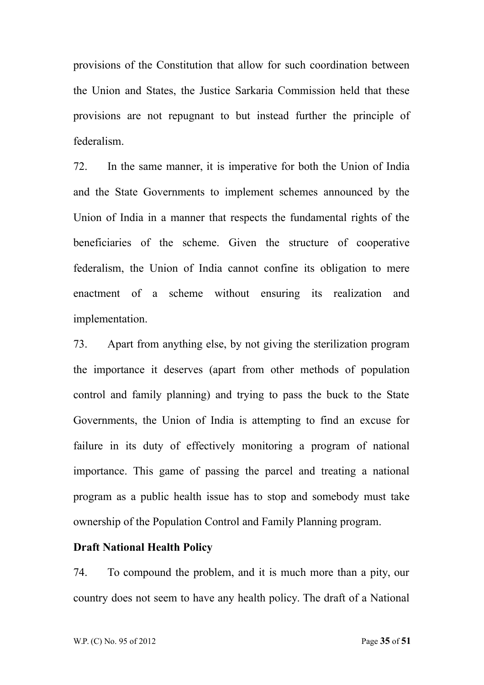provisions of the Constitution that allow for such coordination between the Union and States, the Justice Sarkaria Commission held that these provisions are not repugnant to but instead further the principle of federalism.

72. In the same manner, it is imperative for both the Union of India and the State Governments to implement schemes announced by the Union of India in a manner that respects the fundamental rights of the beneficiaries of the scheme. Given the structure of cooperative federalism, the Union of India cannot confine its obligation to mere enactment of a scheme without ensuring its realization and implementation.

73. Apart from anything else, by not giving the sterilization program the importance it deserves (apart from other methods of population control and family planning) and trying to pass the buck to the State Governments, the Union of India is attempting to find an excuse for failure in its duty of effectively monitoring a program of national importance. This game of passing the parcel and treating a national program as a public health issue has to stop and somebody must take ownership of the Population Control and Family Planning program.

### **Draft National Health Policy**

74. To compound the problem, and it is much more than a pity, our country does not seem to have any health policy. The draft of a National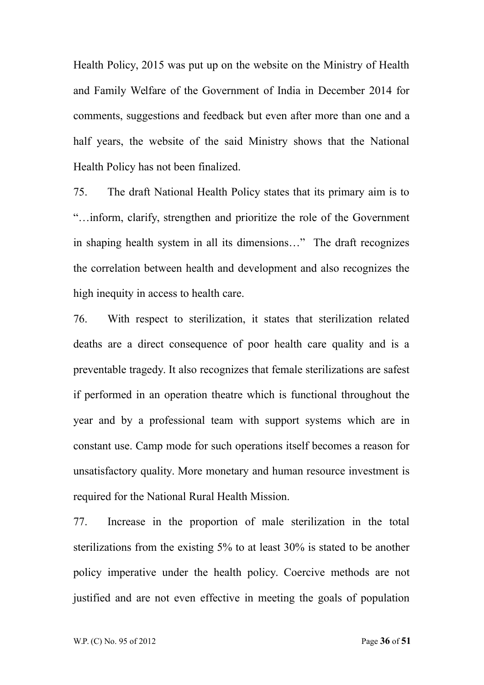Health Policy, 2015 was put up on the website on the Ministry of Health and Family Welfare of the Government of India in December 2014 for comments, suggestions and feedback but even after more than one and a half years, the website of the said Ministry shows that the National Health Policy has not been finalized.

75. The draft National Health Policy states that its primary aim is to "…inform, clarify, strengthen and prioritize the role of the Government in shaping health system in all its dimensions…" The draft recognizes the correlation between health and development and also recognizes the high inequity in access to health care.

76. With respect to sterilization, it states that sterilization related deaths are a direct consequence of poor health care quality and is a preventable tragedy. It also recognizes that female sterilizations are safest if performed in an operation theatre which is functional throughout the year and by a professional team with support systems which are in constant use. Camp mode for such operations itself becomes a reason for unsatisfactory quality. More monetary and human resource investment is required for the National Rural Health Mission.

77. Increase in the proportion of male sterilization in the total sterilizations from the existing 5% to at least 30% is stated to be another policy imperative under the health policy. Coercive methods are not justified and are not even effective in meeting the goals of population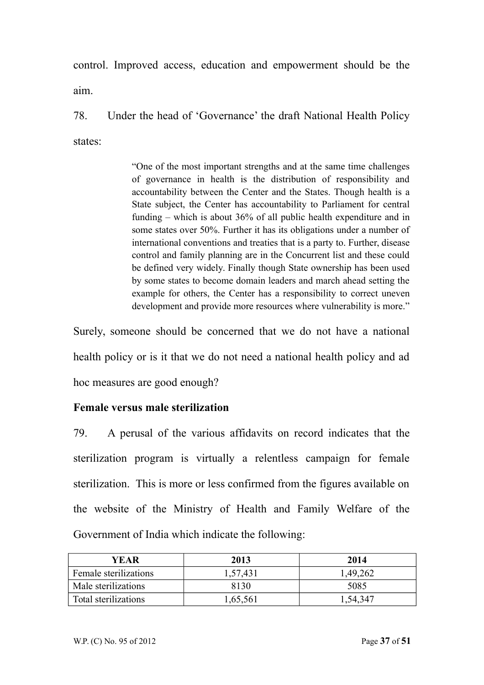control. Improved access, education and empowerment should be the aim.

78. Under the head of 'Governance' the draft National Health Policy states:

> "One of the most important strengths and at the same time challenges of governance in health is the distribution of responsibility and accountability between the Center and the States. Though health is a State subject, the Center has accountability to Parliament for central funding – which is about 36% of all public health expenditure and in some states over 50%. Further it has its obligations under a number of international conventions and treaties that is a party to. Further, disease control and family planning are in the Concurrent list and these could be defined very widely. Finally though State ownership has been used by some states to become domain leaders and march ahead setting the example for others, the Center has a responsibility to correct uneven development and provide more resources where vulnerability is more."

Surely, someone should be concerned that we do not have a national health policy or is it that we do not need a national health policy and ad hoc measures are good enough?

# **Female versus male sterilization**

79. A perusal of the various affidavits on record indicates that the sterilization program is virtually a relentless campaign for female sterilization. This is more or less confirmed from the figures available on the website of the Ministry of Health and Family Welfare of the Government of India which indicate the following:

| YEAR                  | 2013     | 2014     |
|-----------------------|----------|----------|
| Female sterilizations | 1,57,431 | 1,49,262 |
| Male sterilizations   | 8130     | 5085     |
| Total sterilizations  | 1,65,561 | 1,54,347 |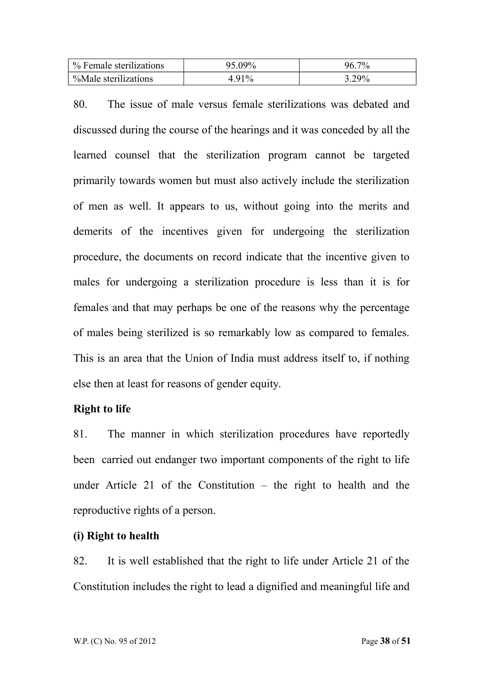| % Female sterilizations | 95.09%  | $7\%$ |
|-------------------------|---------|-------|
| %Male sterilizations    | $.91\%$ | 3.29% |

80. The issue of male versus female sterilizations was debated and discussed during the course of the hearings and it was conceded by all the learned counsel that the sterilization program cannot be targeted primarily towards women but must also actively include the sterilization of men as well. It appears to us, without going into the merits and demerits of the incentives given for undergoing the sterilization procedure, the documents on record indicate that the incentive given to males for undergoing a sterilization procedure is less than it is for females and that may perhaps be one of the reasons why the percentage of males being sterilized is so remarkably low as compared to females. This is an area that the Union of India must address itself to, if nothing else then at least for reasons of gender equity.

## **Right to life**

81. The manner in which sterilization procedures have reportedly been carried out endanger two important components of the right to life under Article 21 of the Constitution – the right to health and the reproductive rights of a person.

## **(i) Right to health**

82. It is well established that the right to life under Article 21 of the Constitution includes the right to lead a dignified and meaningful life and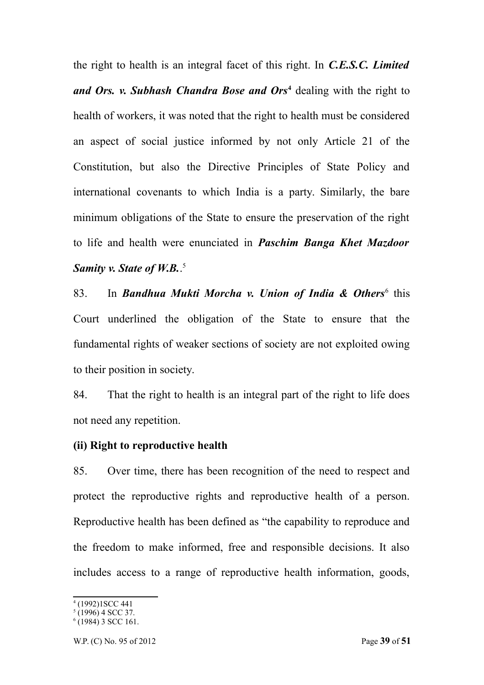the right to health is an integral facet of this right. In *C.E.S.C. Limited and Ors. v. Subhash Chandra Bose and Ors***[4](#page-38-0)** dealing with the right to health of workers, it was noted that the right to health must be considered an aspect of social justice informed by not only Article 21 of the Constitution, but also the Directive Principles of State Policy and international covenants to which India is a party. Similarly, the bare minimum obligations of the State to ensure the preservation of the right to life and health were enunciated in *Paschim Banga Khet Mazdoor* Samity *v.* State of W.B.<sup>[5](#page-38-1)</sup>

83. In **Bandhua Mukti Morcha v. Union of India & Others**<sup>[6](#page-38-2)</sup> this Court underlined the obligation of the State to ensure that the fundamental rights of weaker sections of society are not exploited owing to their position in society.

84. That the right to health is an integral part of the right to life does not need any repetition.

### **(ii) Right to reproductive health**

85. Over time, there has been recognition of the need to respect and protect the reproductive rights and reproductive health of a person. Reproductive health has been defined as "the capability to reproduce and the freedom to make informed, free and responsible decisions. It also includes access to a range of reproductive health information, goods,

<span id="page-38-0"></span><sup>4</sup> (1992)1SCC 441

<span id="page-38-1"></span> $(1996)$  4 SCC 37.

<span id="page-38-2"></span><sup>6</sup> (1984) 3 SCC 161.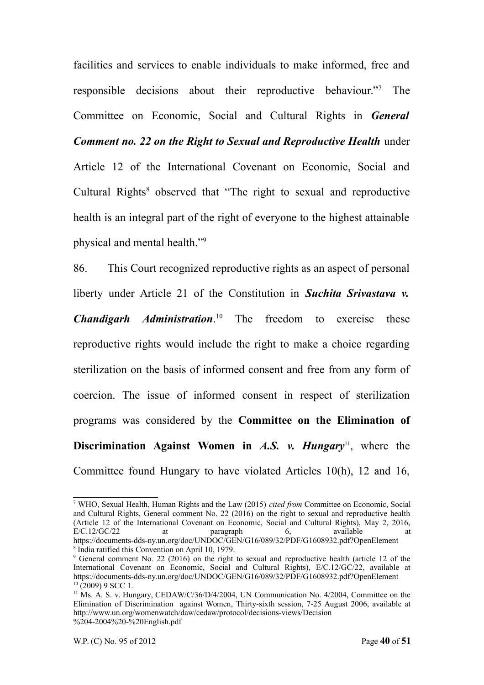facilities and services to enable individuals to make informed, free and responsible decisions about their reproductive behaviour."[7](#page-39-0) The Committee on Economic, Social and Cultural Rights in *General Comment no. 22 on the Right to Sexual and Reproductive Health* under Article 12 of the International Covenant on Economic, Social and Cultural Rights<sup>[8](#page-39-1)</sup> observed that "The right to sexual and reproductive health is an integral part of the right of everyone to the highest attainable physical and mental health."[9](#page-39-2)

86. This Court recognized reproductive rights as an aspect of personal liberty under Article 21 of the Constitution in *Suchita Srivastava v. Chandigarh Administration*. [10](#page-39-3) The freedom to exercise these reproductive rights would include the right to make a choice regarding sterilization on the basis of informed consent and free from any form of coercion. The issue of informed consent in respect of sterilization programs was considered by the **Committee on the Elimination of Discrimination Against Women in** *A.S. v. Hungary***<sup>[11](#page-39-4)</sup>, where the** Committee found Hungary to have violated Articles 10(h), 12 and 16,

<span id="page-39-0"></span><sup>7</sup> WHO, Sexual Health, Human Rights and the Law (2015) *cited from* Committee on Economic, Social and Cultural Rights, General comment No. 22 (2016) on the right to sexual and reproductive health (Article 12 of the International Covenant on Economic, Social and Cultural Rights), May 2, 2016, E/C.12/GC/22 at paragraph 6, available at https://documents-dds-ny.un.org/doc/UNDOC/GEN/G16/089/32/PDF/G1608932.pdf?OpenElement 8 India ratified this Convention on April 10, 1979.

<span id="page-39-2"></span><span id="page-39-1"></span><sup>&</sup>lt;sup>9</sup> General comment No. 22 (2016) on the right to sexual and reproductive health (article 12 of the International Covenant on Economic, Social and Cultural Rights), E/C.12/GC/22, available at https://documents-dds-ny.un.org/doc/UNDOC/GEN/G16/089/32/PDF/G1608932.pdf?OpenElement  $10$  (2009) 9 SCC 1.

<span id="page-39-4"></span><span id="page-39-3"></span><sup>&</sup>lt;sup>11</sup> Ms. A. S. v. Hungary, CEDAW/C/36/D/4/2004, UN Communication No. 4/2004, Committee on the Elimination of Discrimination against Women, Thirty-sixth session, 7-25 August 2006, available at http://www.un.org/womenwatch/daw/cedaw/protocol/decisions-views/Decision %204-2004%20-%20English.pdf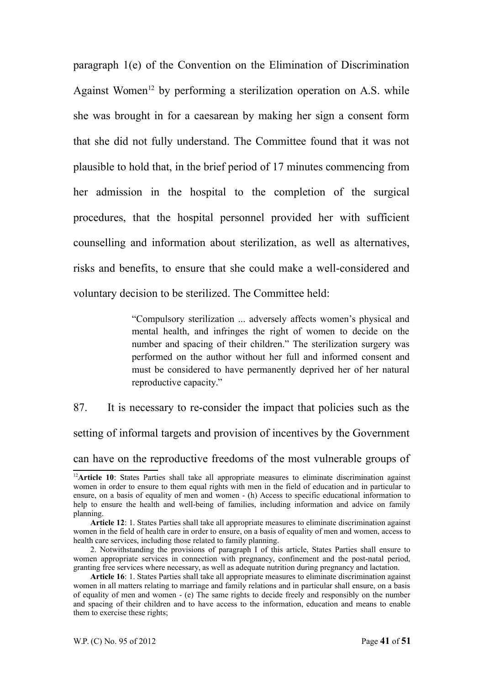paragraph 1(e) of the Convention on the Elimination of Discrimination Against Women<sup>[12](#page-40-0)</sup> by performing a sterilization operation on A.S. while she was brought in for a caesarean by making her sign a consent form that she did not fully understand. The Committee found that it was not plausible to hold that, in the brief period of 17 minutes commencing from her admission in the hospital to the completion of the surgical procedures, that the hospital personnel provided her with sufficient counselling and information about sterilization, as well as alternatives, risks and benefits, to ensure that she could make a well-considered and voluntary decision to be sterilized. The Committee held:

> "Compulsory sterilization ... adversely affects women's physical and mental health, and infringes the right of women to decide on the number and spacing of their children." The sterilization surgery was performed on the author without her full and informed consent and must be considered to have permanently deprived her of her natural reproductive capacity."

87. It is necessary to re-consider the impact that policies such as the setting of informal targets and provision of incentives by the Government can have on the reproductive freedoms of the most vulnerable groups of

<span id="page-40-0"></span><sup>&</sup>lt;sup>12</sup>Article 10: States Parties shall take all appropriate measures to eliminate discrimination against women in order to ensure to them equal rights with men in the field of education and in particular to ensure, on a basis of equality of men and women - (h) Access to specific educational information to help to ensure the health and well-being of families, including information and advice on family planning.

**Article 12**: 1. States Parties shall take all appropriate measures to eliminate discrimination against women in the field of health care in order to ensure, on a basis of equality of men and women, access to health care services, including those related to family planning.

<sup>2.</sup> Notwithstanding the provisions of paragraph I of this article, States Parties shall ensure to women appropriate services in connection with pregnancy, confinement and the post-natal period, granting free services where necessary, as well as adequate nutrition during pregnancy and lactation.

**Article 16**: 1. States Parties shall take all appropriate measures to eliminate discrimination against women in all matters relating to marriage and family relations and in particular shall ensure, on a basis of equality of men and women - (e) The same rights to decide freely and responsibly on the number and spacing of their children and to have access to the information, education and means to enable them to exercise these rights;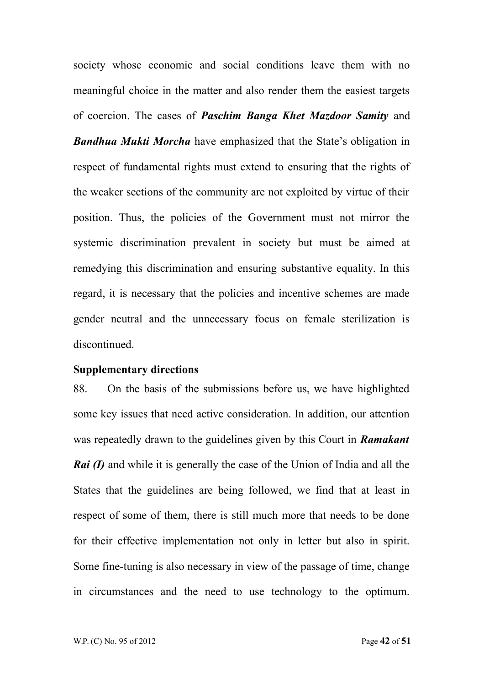society whose economic and social conditions leave them with no meaningful choice in the matter and also render them the easiest targets of coercion. The cases of *Paschim Banga Khet Mazdoor Samity* and *Bandhua Mukti Morcha* have emphasized that the State's obligation in respect of fundamental rights must extend to ensuring that the rights of the weaker sections of the community are not exploited by virtue of their position. Thus, the policies of the Government must not mirror the systemic discrimination prevalent in society but must be aimed at remedying this discrimination and ensuring substantive equality. In this regard, it is necessary that the policies and incentive schemes are made gender neutral and the unnecessary focus on female sterilization is discontinued.

#### **Supplementary directions**

88. On the basis of the submissions before us, we have highlighted some key issues that need active consideration. In addition, our attention was repeatedly drawn to the guidelines given by this Court in *Ramakant Rai (I)* and while it is generally the case of the Union of India and all the States that the guidelines are being followed, we find that at least in respect of some of them, there is still much more that needs to be done for their effective implementation not only in letter but also in spirit. Some fine-tuning is also necessary in view of the passage of time, change in circumstances and the need to use technology to the optimum.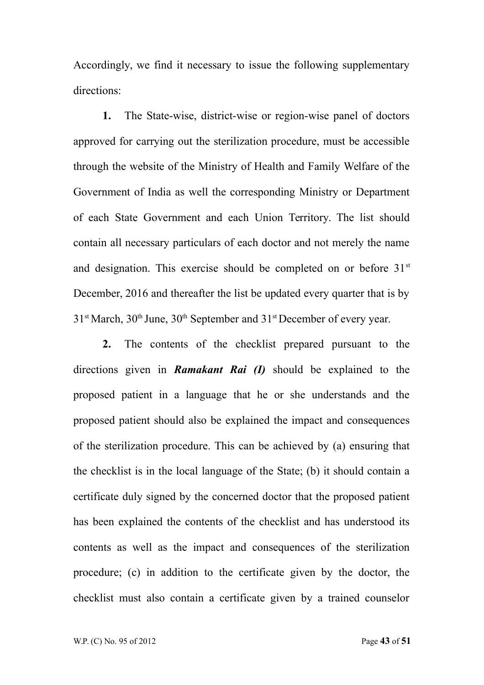Accordingly, we find it necessary to issue the following supplementary directions:

**1.** The State-wise, district-wise or region-wise panel of doctors approved for carrying out the sterilization procedure, must be accessible through the website of the Ministry of Health and Family Welfare of the Government of India as well the corresponding Ministry or Department of each State Government and each Union Territory. The list should contain all necessary particulars of each doctor and not merely the name and designation. This exercise should be completed on or before  $31<sup>st</sup>$ December, 2016 and thereafter the list be updated every quarter that is by  $31<sup>st</sup> March, 30<sup>th</sup> June, 30<sup>th</sup> September and 31<sup>st</sup> December of every year.$ 

**2.** The contents of the checklist prepared pursuant to the directions given in *Ramakant Rai (I)* should be explained to the proposed patient in a language that he or she understands and the proposed patient should also be explained the impact and consequences of the sterilization procedure. This can be achieved by (a) ensuring that the checklist is in the local language of the State; (b) it should contain a certificate duly signed by the concerned doctor that the proposed patient has been explained the contents of the checklist and has understood its contents as well as the impact and consequences of the sterilization procedure; (c) in addition to the certificate given by the doctor, the checklist must also contain a certificate given by a trained counselor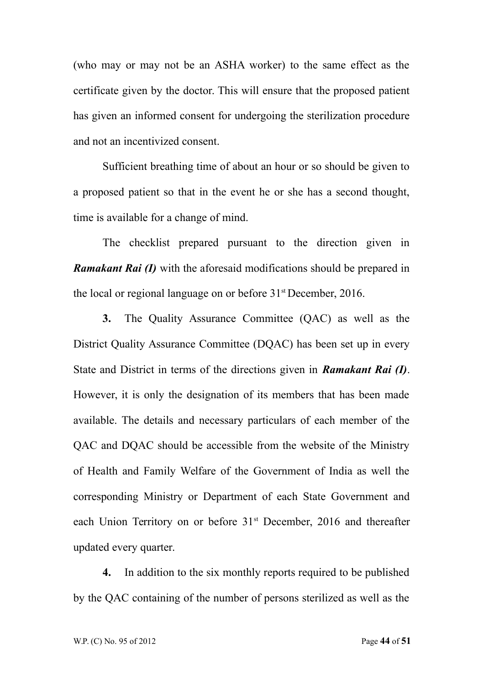(who may or may not be an ASHA worker) to the same effect as the certificate given by the doctor. This will ensure that the proposed patient has given an informed consent for undergoing the sterilization procedure and not an incentivized consent.

Sufficient breathing time of about an hour or so should be given to a proposed patient so that in the event he or she has a second thought, time is available for a change of mind.

The checklist prepared pursuant to the direction given in *Ramakant Rai (I)* with the aforesaid modifications should be prepared in the local or regional language on or before 31st December, 2016.

**3.** The Quality Assurance Committee (QAC) as well as the District Quality Assurance Committee (DQAC) has been set up in every State and District in terms of the directions given in *Ramakant Rai (I)*. However, it is only the designation of its members that has been made available. The details and necessary particulars of each member of the QAC and DQAC should be accessible from the website of the Ministry of Health and Family Welfare of the Government of India as well the corresponding Ministry or Department of each State Government and each Union Territory on or before 31<sup>st</sup> December, 2016 and thereafter updated every quarter.

**4.** In addition to the six monthly reports required to be published by the QAC containing of the number of persons sterilized as well as the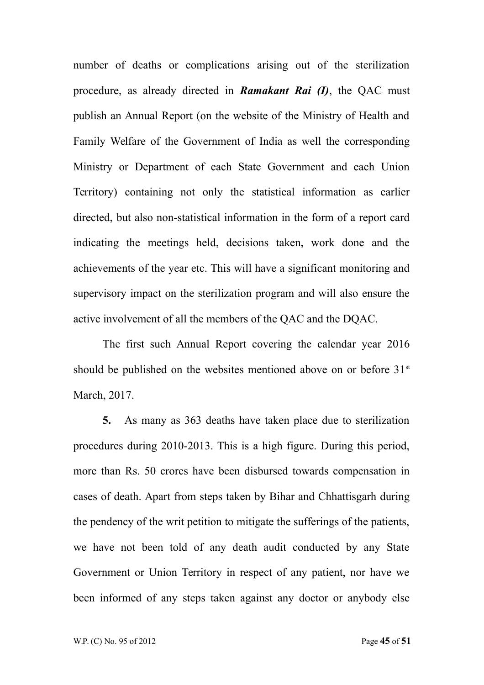number of deaths or complications arising out of the sterilization procedure, as already directed in *Ramakant Rai (I)*, the QAC must publish an Annual Report (on the website of the Ministry of Health and Family Welfare of the Government of India as well the corresponding Ministry or Department of each State Government and each Union Territory) containing not only the statistical information as earlier directed, but also non-statistical information in the form of a report card indicating the meetings held, decisions taken, work done and the achievements of the year etc. This will have a significant monitoring and supervisory impact on the sterilization program and will also ensure the active involvement of all the members of the QAC and the DQAC.

The first such Annual Report covering the calendar year 2016 should be published on the websites mentioned above on or before  $31<sup>st</sup>$ March, 2017.

**5.** As many as 363 deaths have taken place due to sterilization procedures during 2010-2013. This is a high figure. During this period, more than Rs. 50 crores have been disbursed towards compensation in cases of death. Apart from steps taken by Bihar and Chhattisgarh during the pendency of the writ petition to mitigate the sufferings of the patients, we have not been told of any death audit conducted by any State Government or Union Territory in respect of any patient, nor have we been informed of any steps taken against any doctor or anybody else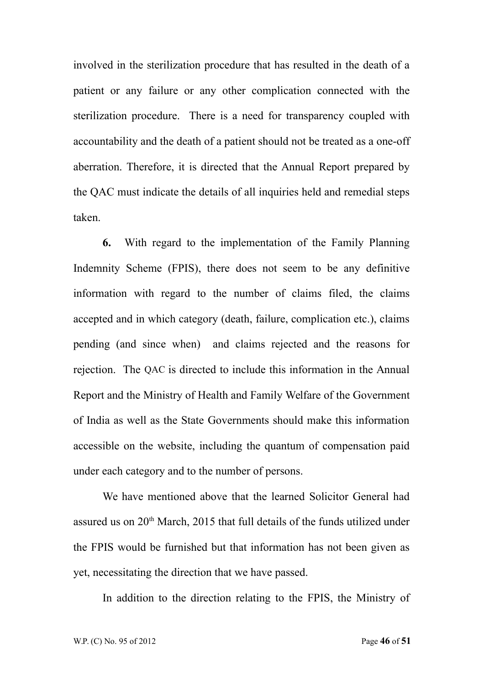involved in the sterilization procedure that has resulted in the death of a patient or any failure or any other complication connected with the sterilization procedure. There is a need for transparency coupled with accountability and the death of a patient should not be treated as a one-off aberration. Therefore, it is directed that the Annual Report prepared by the QAC must indicate the details of all inquiries held and remedial steps taken.

**6.** With regard to the implementation of the Family Planning Indemnity Scheme (FPIS), there does not seem to be any definitive information with regard to the number of claims filed, the claims accepted and in which category (death, failure, complication etc.), claims pending (and since when) and claims rejected and the reasons for rejection. The QAC is directed to include this information in the Annual Report and the Ministry of Health and Family Welfare of the Government of India as well as the State Governments should make this information accessible on the website, including the quantum of compensation paid under each category and to the number of persons.

We have mentioned above that the learned Solicitor General had assured us on  $20<sup>th</sup>$  March, 2015 that full details of the funds utilized under the FPIS would be furnished but that information has not been given as yet, necessitating the direction that we have passed.

In addition to the direction relating to the FPIS, the Ministry of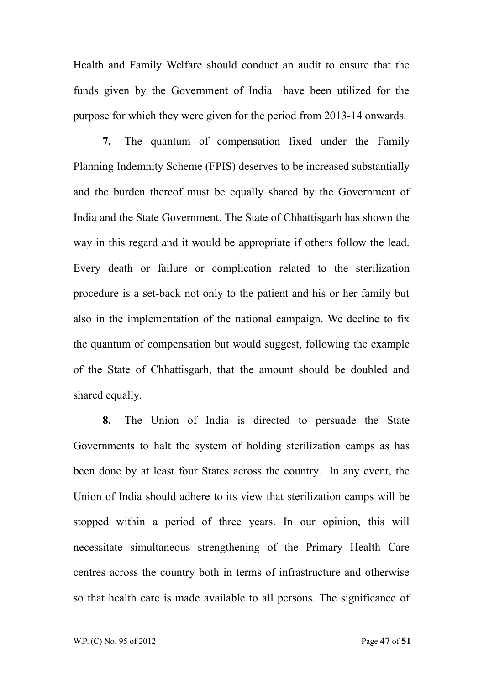Health and Family Welfare should conduct an audit to ensure that the funds given by the Government of India have been utilized for the purpose for which they were given for the period from 2013-14 onwards.

**7.** The quantum of compensation fixed under the Family Planning Indemnity Scheme (FPIS) deserves to be increased substantially and the burden thereof must be equally shared by the Government of India and the State Government. The State of Chhattisgarh has shown the way in this regard and it would be appropriate if others follow the lead. Every death or failure or complication related to the sterilization procedure is a set-back not only to the patient and his or her family but also in the implementation of the national campaign. We decline to fix the quantum of compensation but would suggest, following the example of the State of Chhattisgarh, that the amount should be doubled and shared equally.

**8.** The Union of India is directed to persuade the State Governments to halt the system of holding sterilization camps as has been done by at least four States across the country. In any event, the Union of India should adhere to its view that sterilization camps will be stopped within a period of three years. In our opinion, this will necessitate simultaneous strengthening of the Primary Health Care centres across the country both in terms of infrastructure and otherwise so that health care is made available to all persons. The significance of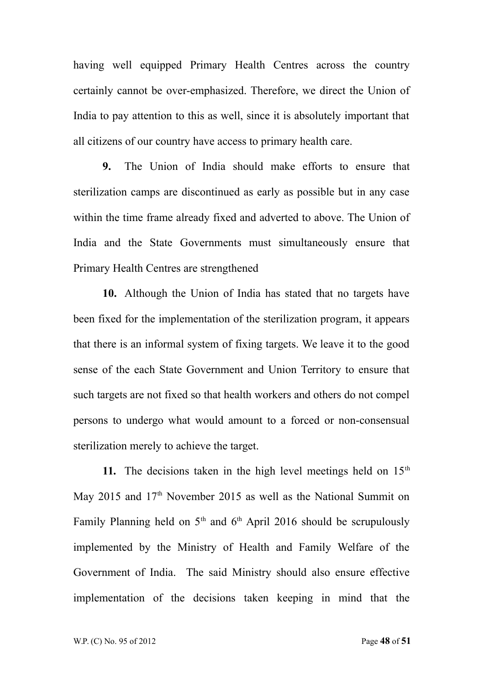having well equipped Primary Health Centres across the country certainly cannot be over-emphasized. Therefore, we direct the Union of India to pay attention to this as well, since it is absolutely important that all citizens of our country have access to primary health care.

**9.** The Union of India should make efforts to ensure that sterilization camps are discontinued as early as possible but in any case within the time frame already fixed and adverted to above. The Union of India and the State Governments must simultaneously ensure that Primary Health Centres are strengthened

**10.** Although the Union of India has stated that no targets have been fixed for the implementation of the sterilization program, it appears that there is an informal system of fixing targets. We leave it to the good sense of the each State Government and Union Territory to ensure that such targets are not fixed so that health workers and others do not compel persons to undergo what would amount to a forced or non-consensual sterilization merely to achieve the target.

**11.** The decisions taken in the high level meetings held on  $15<sup>th</sup>$ May 2015 and 17<sup>th</sup> November 2015 as well as the National Summit on Family Planning held on  $5<sup>th</sup>$  and  $6<sup>th</sup>$  April 2016 should be scrupulously implemented by the Ministry of Health and Family Welfare of the Government of India. The said Ministry should also ensure effective implementation of the decisions taken keeping in mind that the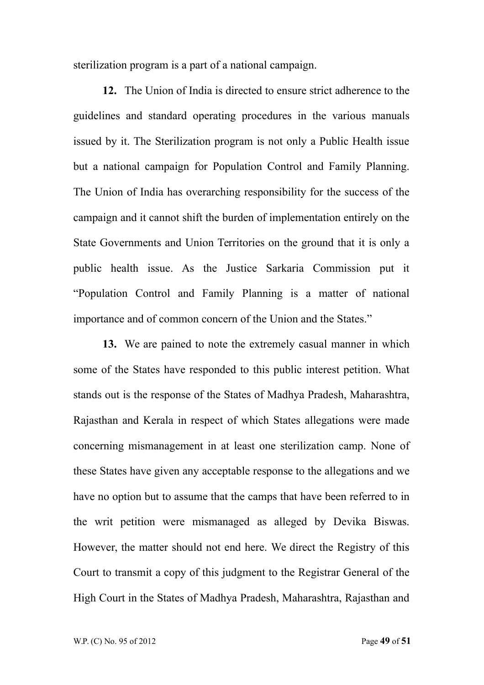sterilization program is a part of a national campaign.

**12.** The Union of India is directed to ensure strict adherence to the guidelines and standard operating procedures in the various manuals issued by it. The Sterilization program is not only a Public Health issue but a national campaign for Population Control and Family Planning. The Union of India has overarching responsibility for the success of the campaign and it cannot shift the burden of implementation entirely on the State Governments and Union Territories on the ground that it is only a public health issue. As the Justice Sarkaria Commission put it "Population Control and Family Planning is a matter of national importance and of common concern of the Union and the States."

**13.** We are pained to note the extremely casual manner in which some of the States have responded to this public interest petition. What stands out is the response of the States of Madhya Pradesh, Maharashtra, Rajasthan and Kerala in respect of which States allegations were made concerning mismanagement in at least one sterilization camp. None of these States have given any acceptable response to the allegations and we have no option but to assume that the camps that have been referred to in the writ petition were mismanaged as alleged by Devika Biswas. However, the matter should not end here. We direct the Registry of this Court to transmit a copy of this judgment to the Registrar General of the High Court in the States of Madhya Pradesh, Maharashtra, Rajasthan and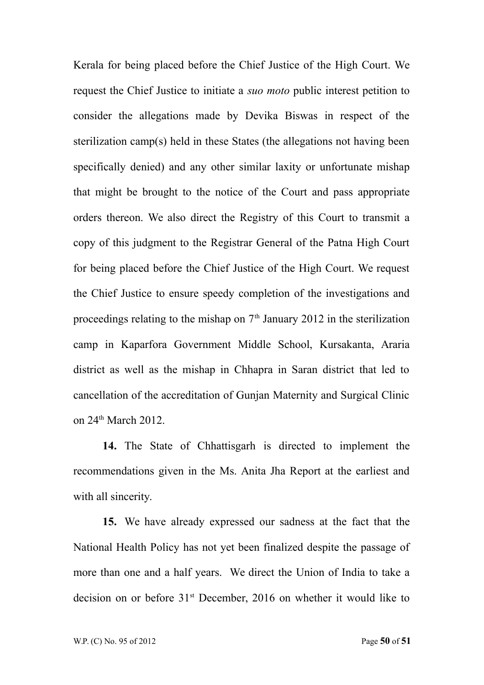Kerala for being placed before the Chief Justice of the High Court. We request the Chief Justice to initiate a *suo moto* public interest petition to consider the allegations made by Devika Biswas in respect of the sterilization camp(s) held in these States (the allegations not having been specifically denied) and any other similar laxity or unfortunate mishap that might be brought to the notice of the Court and pass appropriate orders thereon. We also direct the Registry of this Court to transmit a copy of this judgment to the Registrar General of the Patna High Court for being placed before the Chief Justice of the High Court. We request the Chief Justice to ensure speedy completion of the investigations and proceedings relating to the mishap on  $7<sup>th</sup>$  January 2012 in the sterilization camp in Kaparfora Government Middle School, Kursakanta, Araria district as well as the mishap in Chhapra in Saran district that led to cancellation of the accreditation of Gunjan Maternity and Surgical Clinic on 24<sup>th</sup> March 2012.

**14.** The State of Chhattisgarh is directed to implement the recommendations given in the Ms. Anita Jha Report at the earliest and with all sincerity.

**15.** We have already expressed our sadness at the fact that the National Health Policy has not yet been finalized despite the passage of more than one and a half years. We direct the Union of India to take a decision on or before 31<sup>st</sup> December, 2016 on whether it would like to